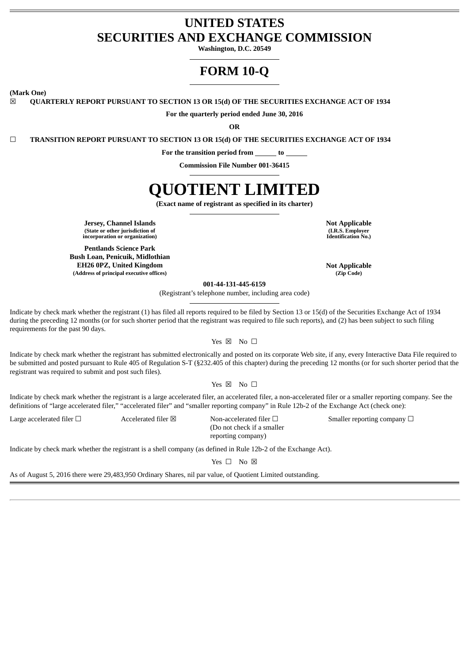# **UNITED STATES SECURITIES AND EXCHANGE COMMISSION**

**Washington, D.C. 20549**

# **FORM 10-Q**

**(Mark One)**

☒ **QUARTERLY REPORT PURSUANT TO SECTION 13 OR 15(d) OF THE SECURITIES EXCHANGE ACT OF 1934**

**For the quarterly period ended June 30, 2016**

**OR**

☐ **TRANSITION REPORT PURSUANT TO SECTION 13 OR 15(d) OF THE SECURITIES EXCHANGE ACT OF 1934**

**For the transition period from to**

**Commission File Number 001-36415**

# **QUOTIENT LIMITED**

**(Exact name of registrant as specified in its charter)**

**Jersey, Channel Islands Not Applicable (State or other jurisdiction of incorporation or organization)**

**Pentlands Science Park Bush Loan, Penicuik, Midlothian EH26 0PZ, United Kingdom Not Applicable (Address of principal executive offices) (Zip Code)**

**(I.R.S. Employer Identification No.)**

**001-44-131-445-6159**

(Registrant's telephone number, including area code)

Indicate by check mark whether the registrant (1) has filed all reports required to be filed by Section 13 or 15(d) of the Securities Exchange Act of 1934 during the preceding 12 months (or for such shorter period that the registrant was required to file such reports), and (2) has been subject to such filing requirements for the past 90 days.

Yes  $\boxtimes$  No  $\Box$ 

Indicate by check mark whether the registrant has submitted electronically and posted on its corporate Web site, if any, every Interactive Data File required to be submitted and posted pursuant to Rule 405 of Regulation S-T (§232.405 of this chapter) during the preceding 12 months (or for such shorter period that the registrant was required to submit and post such files).

Yes ⊠ No □

Indicate by check mark whether the registrant is a large accelerated filer, an accelerated filer, a non-accelerated filer or a smaller reporting company. See the definitions of "large accelerated filer," "accelerated filer" and "smaller reporting company" in Rule 12b-2 of the Exchange Act (check one):

Large accelerated filer  $\Box$  Accelerated filer  $\boxtimes$  Non-accelerated filer  $\Box$ (Do not check if a smaller reporting company) Smaller reporting company  $\Box$ 

Indicate by check mark whether the registrant is a shell company (as defined in Rule 12b-2 of the Exchange Act).

Yes □ No ⊠

As of August 5, 2016 there were 29,483,950 Ordinary Shares, nil par value, of Quotient Limited outstanding.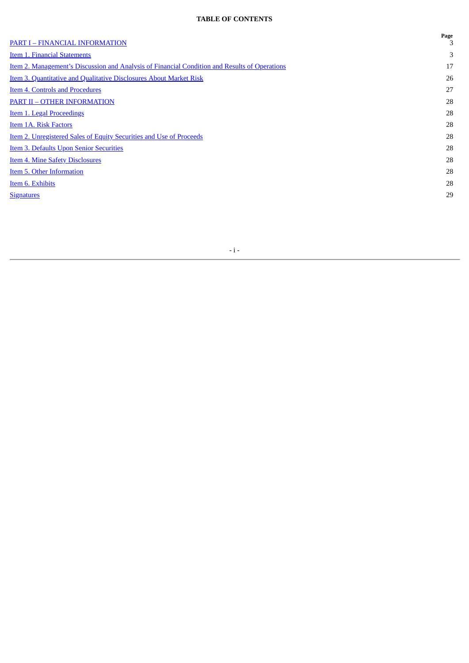## **TABLE OF CONTENTS**

| <b>PART I - FINANCIAL INFORMATION</b>                                                         | Page |
|-----------------------------------------------------------------------------------------------|------|
| Item 1. Financial Statements                                                                  | 3    |
| Item 2. Management's Discussion and Analysis of Financial Condition and Results of Operations | 17   |
| <b>Item 3. Quantitative and Qualitative Disclosures About Market Risk</b>                     | 26   |
| <b>Item 4. Controls and Procedures</b>                                                        | 27   |
| <b>PART II - OTHER INFORMATION</b>                                                            | 28   |
| Item 1. Legal Proceedings                                                                     | 28   |
| Item 1A. Risk Factors                                                                         | 28   |
| Item 2. Unregistered Sales of Equity Securities and Use of Proceeds                           | 28   |
| <b>Item 3. Defaults Upon Senior Securities</b>                                                | 28   |
| <b>Item 4. Mine Safety Disclosures</b>                                                        | 28   |
| Item 5. Other Information                                                                     | 28   |
| Item 6. Exhibits                                                                              | 28   |
| <b>Signatures</b>                                                                             | 29   |

- i -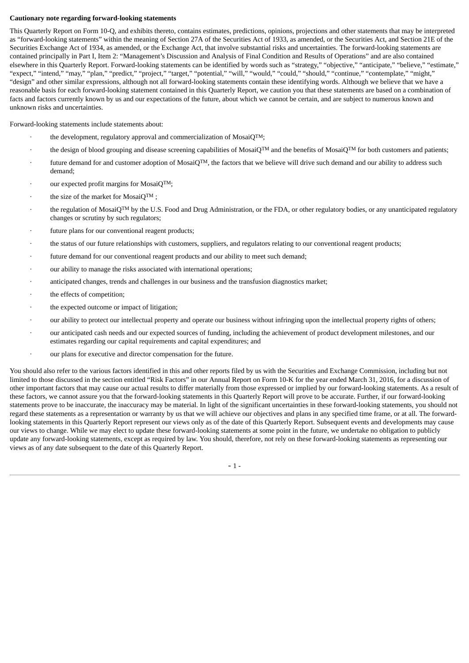## **Cautionary note regarding forward-looking statements**

This Quarterly Report on Form 10-Q, and exhibits thereto, contains estimates, predictions, opinions, projections and other statements that may be interpreted as "forward-looking statements" within the meaning of Section 27A of the Securities Act of 1933, as amended, or the Securities Act, and Section 21E of the Securities Exchange Act of 1934, as amended, or the Exchange Act, that involve substantial risks and uncertainties. The forward-looking statements are contained principally in Part I, Item 2: "Management's Discussion and Analysis of Final Condition and Results of Operations" and are also contained elsewhere in this Quarterly Report. Forward-looking statements can be identified by words such as "strategy," "objective," "anticipate," "believe," "estimate," "expect," "intend," "may," "plan," "predict," "project," "target," "potential," "will," "would," "could," "should," "continue," "contemplate," "might," "design" and other similar expressions, although not all forward-looking statements contain these identifying words. Although we believe that we have a reasonable basis for each forward-looking statement contained in this Quarterly Report, we caution you that these statements are based on a combination of facts and factors currently known by us and our expectations of the future, about which we cannot be certain, and are subject to numerous known and unknown risks and uncertainties.

Forward-looking statements include statements about:

- the development, regulatory approval and commercialization of  $MosaiO^{TM}$ :
- the design of blood grouping and disease screening capabilities of MosaiQ<sup>TM</sup> and the benefits of MosaiQ<sup>TM</sup> for both customers and patients;
- future demand for and customer adoption of MosaiQ<sup>TM</sup>, the factors that we believe will drive such demand and our ability to address such demand;
- our expected profit margins for MosaiQTM;
- the size of the market for Mosai $Q^{TM}$ ;
- the regulation of MosaiQ<sup>TM</sup> by the U.S. Food and Drug Administration, or the FDA, or other regulatory bodies, or any unanticipated regulatory changes or scrutiny by such regulators;
- future plans for our conventional reagent products;
- · the status of our future relationships with customers, suppliers, and regulators relating to our conventional reagent products;
- future demand for our conventional reagent products and our ability to meet such demand;
- our ability to manage the risks associated with international operations;
- · anticipated changes, trends and challenges in our business and the transfusion diagnostics market;
- the effects of competition;
- the expected outcome or impact of litigation;
- · our ability to protect our intellectual property and operate our business without infringing upon the intellectual property rights of others;
- · our anticipated cash needs and our expected sources of funding, including the achievement of product development milestones, and our estimates regarding our capital requirements and capital expenditures; and
- our plans for executive and director compensation for the future.

You should also refer to the various factors identified in this and other reports filed by us with the Securities and Exchange Commission, including but not limited to those discussed in the section entitled "Risk Factors" in our Annual Report on Form 10-K for the year ended March 31, 2016, for a discussion of other important factors that may cause our actual results to differ materially from those expressed or implied by our forward-looking statements. As a result of these factors, we cannot assure you that the forward-looking statements in this Quarterly Report will prove to be accurate. Further, if our forward-looking statements prove to be inaccurate, the inaccuracy may be material. In light of the significant uncertainties in these forward-looking statements, you should not regard these statements as a representation or warranty by us that we will achieve our objectives and plans in any specified time frame, or at all. The forwardlooking statements in this Quarterly Report represent our views only as of the date of this Quarterly Report. Subsequent events and developments may cause our views to change. While we may elect to update these forward-looking statements at some point in the future, we undertake no obligation to publicly update any forward-looking statements, except as required by law. You should, therefore, not rely on these forward-looking statements as representing our views as of any date subsequent to the date of this Quarterly Report.

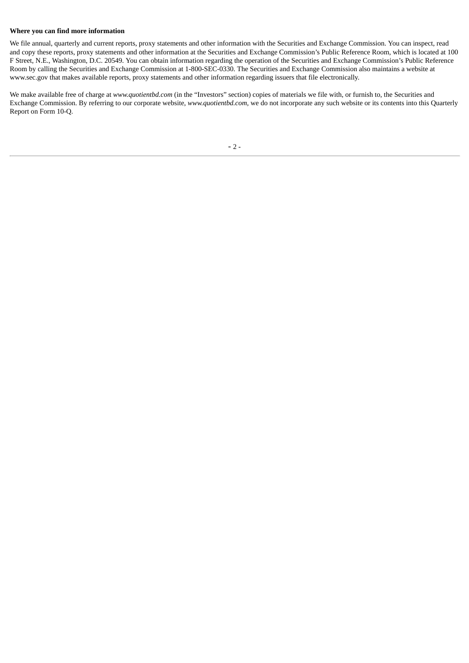## **Where you can find more information**

We file annual, quarterly and current reports, proxy statements and other information with the Securities and Exchange Commission. You can inspect, read and copy these reports, proxy statements and other information at the Securities and Exchange Commission's Public Reference Room, which is located at 100 F Street, N.E., Washington, D.C. 20549. You can obtain information regarding the operation of the Securities and Exchange Commission's Public Reference Room by calling the Securities and Exchange Commission at 1-800-SEC-0330. The Securities and Exchange Commission also maintains a website at www.sec.gov that makes available reports, proxy statements and other information regarding issuers that file electronically.

We make available free of charge at *www.quotientbd.com* (in the "Investors" section) copies of materials we file with, or furnish to, the Securities and Exchange Commission. By referring to our corporate website, *www.quotientbd.com*, we do not incorporate any such website or its contents into this Quarterly Report on Form 10-Q.

 $- 2 -$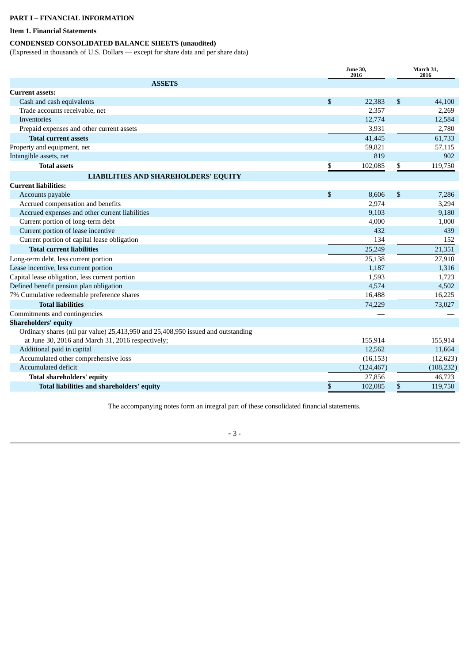## <span id="page-4-0"></span>**PART I – FINANCIAL INFORMATION**

## <span id="page-4-1"></span>**Item 1. Financial Statements**

## **CONDENSED CONSOLIDATED BALANCE SHEETS (unaudited)**

(Expressed in thousands of U.S. Dollars — except for share data and per share data)

|                                                                                  |              | <b>June 30,</b><br>2016 |    | March 31,<br>2016 |  |
|----------------------------------------------------------------------------------|--------------|-------------------------|----|-------------------|--|
| <b>ASSETS</b>                                                                    |              |                         |    |                   |  |
| <b>Current assets:</b>                                                           |              |                         |    |                   |  |
| Cash and cash equivalents                                                        | $\mathbb{S}$ | 22,383                  | \$ | 44,100            |  |
| Trade accounts receivable, net                                                   |              | 2,357                   |    | 2,269             |  |
| <b>Inventories</b>                                                               |              | 12,774                  |    | 12,584            |  |
| Prepaid expenses and other current assets                                        |              | 3,931                   |    | 2,780             |  |
| <b>Total current assets</b>                                                      |              | 41,445                  |    | 61,733            |  |
| Property and equipment, net                                                      |              | 59,821                  |    | 57,115            |  |
| Intangible assets, net                                                           |              | 819                     |    | 902               |  |
| <b>Total assets</b>                                                              | \$           | 102,085                 | \$ | 119,750           |  |
| <b>LIABILITIES AND SHAREHOLDERS' EQUITY</b>                                      |              |                         |    |                   |  |
| <b>Current liabilities:</b>                                                      |              |                         |    |                   |  |
| Accounts payable                                                                 | \$           | 8,606                   | \$ | 7,286             |  |
| Accrued compensation and benefits                                                |              | 2,974                   |    | 3,294             |  |
| Accrued expenses and other current liabilities                                   |              | 9,103                   |    | 9,180             |  |
| Current portion of long-term debt                                                |              | 4,000                   |    | 1,000             |  |
| Current portion of lease incentive                                               |              | 432                     |    | 439               |  |
| Current portion of capital lease obligation                                      |              | 134                     |    | 152               |  |
| <b>Total current liabilities</b>                                                 |              | 25,249                  |    | 21,351            |  |
| Long-term debt, less current portion                                             |              | 25,138                  |    | 27,910            |  |
| Lease incentive, less current portion                                            |              | 1,187                   |    | 1,316             |  |
| Capital lease obligation, less current portion                                   |              | 1,593                   |    | 1,723             |  |
| Defined benefit pension plan obligation                                          |              | 4,574                   |    | 4,502             |  |
| 7% Cumulative redeemable preference shares                                       |              | 16,488                  |    | 16,225            |  |
| <b>Total liabilities</b>                                                         |              | 74,229                  |    | 73,027            |  |
| Commitments and contingencies                                                    |              |                         |    |                   |  |
| <b>Shareholders' equity</b>                                                      |              |                         |    |                   |  |
| Ordinary shares (nil par value) 25,413,950 and 25,408,950 issued and outstanding |              |                         |    |                   |  |
| at June 30, 2016 and March 31, 2016 respectively;                                |              | 155,914                 |    | 155,914           |  |
| Additional paid in capital                                                       |              | 12,562                  |    | 11,664            |  |
| Accumulated other comprehensive loss                                             |              | (16, 153)               |    | (12, 623)         |  |
| Accumulated deficit                                                              |              | (124, 467)              |    | (108, 232)        |  |
| <b>Total shareholders' equity</b>                                                |              | 27,856                  |    | 46,723            |  |
| Total liabilities and shareholders' equity                                       | \$           | 102,085                 | \$ | 119,750           |  |
|                                                                                  |              |                         |    |                   |  |

The accompanying notes form an integral part of these consolidated financial statements.

## - 3 -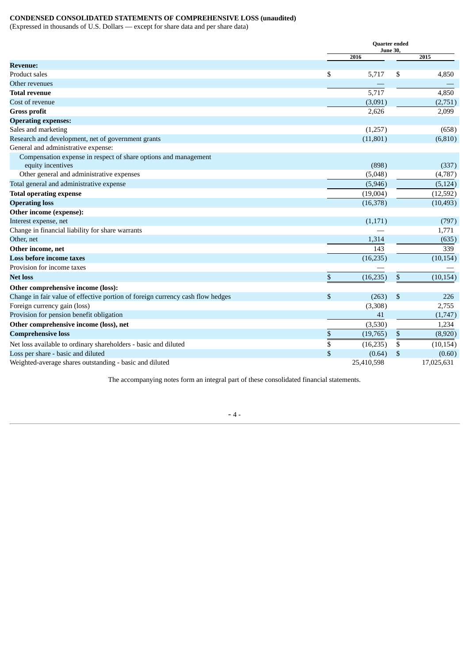## **CONDENSED CONSOLIDATED STATEMENTS OF COMPREHENSIVE LOSS (unaudited)**

(Expressed in thousands of U.S. Dollars — except for share data and per share data)

|                                                                                | <b>Quarter ended</b><br><b>June 30,</b> |                |            |
|--------------------------------------------------------------------------------|-----------------------------------------|----------------|------------|
|                                                                                | 2016                                    |                | 2015       |
| <b>Revenue:</b>                                                                |                                         |                |            |
| <b>Product sales</b>                                                           | \$<br>5,717                             | \$             | 4,850      |
| Other revenues                                                                 |                                         |                |            |
| <b>Total revenue</b>                                                           | 5,717                                   |                | 4,850      |
| Cost of revenue                                                                | (3,091)                                 |                | (2,751)    |
| <b>Gross profit</b>                                                            | 2,626                                   |                | 2,099      |
| <b>Operating expenses:</b>                                                     |                                         |                |            |
| Sales and marketing                                                            | (1,257)                                 |                | (658)      |
| Research and development, net of government grants                             | (11, 801)                               |                | (6, 810)   |
| General and administrative expense:                                            |                                         |                |            |
| Compensation expense in respect of share options and management                |                                         |                |            |
| equity incentives                                                              | (898)                                   |                | (337)      |
| Other general and administrative expenses                                      | (5,048)                                 |                | (4,787)    |
| Total general and administrative expense                                       | (5,946)                                 |                | (5, 124)   |
| <b>Total operating expense</b>                                                 | (19,004)                                |                | (12, 592)  |
| <b>Operating loss</b>                                                          | (16,378)                                |                | (10, 493)  |
| Other income (expense):                                                        |                                         |                |            |
| Interest expense, net                                                          | (1,171)                                 |                | (797)      |
| Change in financial liability for share warrants                               |                                         |                | 1,771      |
| Other, net                                                                     | 1,314                                   |                | (635)      |
| Other income, net                                                              | 143                                     |                | 339        |
| <b>Loss before income taxes</b>                                                | (16, 235)                               |                | (10, 154)  |
| Provision for income taxes                                                     |                                         |                |            |
| <b>Net loss</b>                                                                | \$<br>(16, 235)                         | \$             | (10, 154)  |
| Other comprehensive income (loss):                                             |                                         |                |            |
| Change in fair value of effective portion of foreign currency cash flow hedges | \$<br>(263)                             | $\mathfrak{S}$ | 226        |
| Foreign currency gain (loss)                                                   | (3,308)                                 |                | 2,755      |
| Provision for pension benefit obligation                                       | 41                                      |                | (1,747)    |
| Other comprehensive income (loss), net                                         | (3,530)                                 |                | 1,234      |
| <b>Comprehensive loss</b>                                                      | \$<br>(19,765)                          | \$             | (8,920)    |
| Net loss available to ordinary shareholders - basic and diluted                | \$<br>(16, 235)                         | \$             | (10, 154)  |
| Loss per share - basic and diluted                                             | \$<br>(0.64)                            | \$             | (0.60)     |
| Weighted-average shares outstanding - basic and diluted                        | 25,410,598                              |                | 17,025,631 |

The accompanying notes form an integral part of these consolidated financial statements.

- 4 -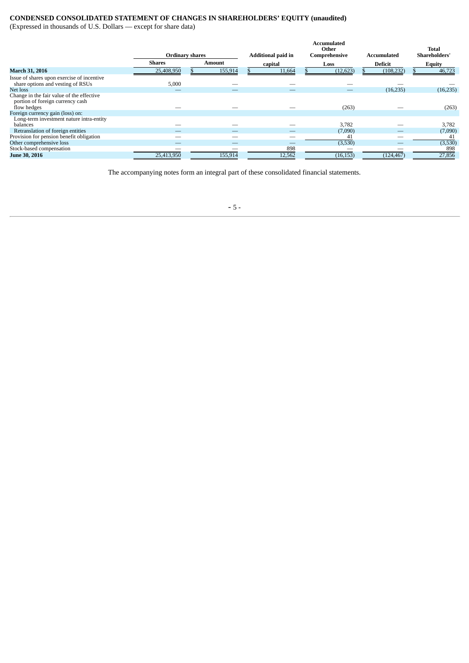## **CONDENSED CONSOLIDATED STATEMENT OF CHANGES IN SHAREHOLDERS' EQUITY (unaudited)**

(Expressed in thousands of U.S. Dollars — except for share data)

|                                                                                              | <b>Ordinary shares</b> |         |                           | <b>Accumulated</b><br>Other<br>Comprehensive | Accumulated    | <b>Total</b><br><b>Shareholders'</b> |
|----------------------------------------------------------------------------------------------|------------------------|---------|---------------------------|----------------------------------------------|----------------|--------------------------------------|
|                                                                                              |                        |         | <b>Additional paid in</b> |                                              |                |                                      |
|                                                                                              | <b>Shares</b>          | Amount  | capital                   | Loss                                         | <b>Deficit</b> | <b>Equity</b>                        |
| <b>March 31, 2016</b>                                                                        | 25,408,950             | 155,914 | 11,664                    | (12, 623)                                    | (108, 232)     | 46,723                               |
| Issue of shares upon exercise of incentive<br>share options and vesting of RSUs              | 5,000                  |         |                           |                                              |                |                                      |
| Net loss                                                                                     |                        |         |                           |                                              | (16, 235)      | (16, 235)                            |
| Change in the fair value of the effective<br>portion of foreign currency cash<br>flow hedges |                        |         |                           | (263)                                        |                | (263)                                |
| Foreign currency gain (loss) on:                                                             |                        |         |                           |                                              |                |                                      |
| Long-term investment nature intra-entity<br>balances                                         |                        |         |                           | 3.782                                        |                | 3,782                                |
| Retranslation of foreign entities                                                            |                        |         |                           | (7,090)                                      |                | (7,090)                              |
| Provision for pension benefit obligation                                                     |                        |         |                           | 41                                           |                | 41                                   |
| Other comprehensive loss                                                                     |                        |         |                           | (3,530)                                      |                | (3,530)                              |
| Stock-based compensation                                                                     |                        |         | 898                       |                                              |                | 898                                  |
| <b>June 30, 2016</b>                                                                         | 25,413,950             | 155,914 | 12,562                    | (16, 153)                                    | (124, 467)     | 27,856                               |

The accompanying notes form an integral part of these consolidated financial statements.

- 5 -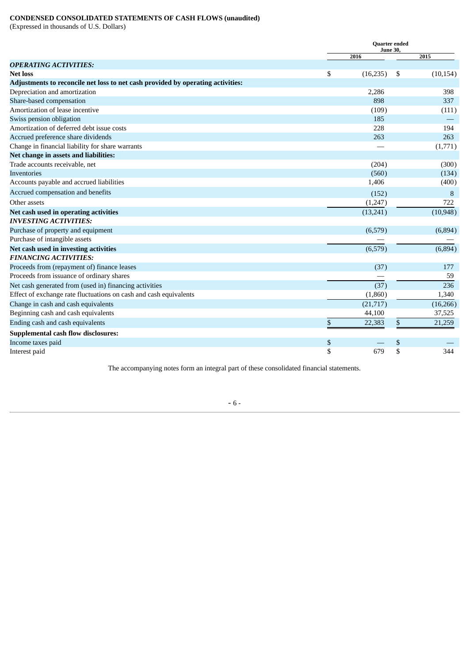## **CONDENSED CONSOLIDATED STATEMENTS OF CASH FLOWS (unaudited)**

(Expressed in thousands of U.S. Dollars)

|                                                                                 | Quarter ended<br><b>June 30,</b> |           |    |           |
|---------------------------------------------------------------------------------|----------------------------------|-----------|----|-----------|
|                                                                                 |                                  | 2016      |    | 2015      |
| <b>OPERATING ACTIVITIES:</b>                                                    |                                  |           |    |           |
| <b>Net loss</b>                                                                 | \$                               | (16, 235) | \$ | (10, 154) |
| Adjustments to reconcile net loss to net cash provided by operating activities: |                                  |           |    |           |
| Depreciation and amortization                                                   |                                  | 2,286     |    | 398       |
| Share-based compensation                                                        |                                  | 898       |    | 337       |
| Amortization of lease incentive                                                 |                                  | (109)     |    | (111)     |
| Swiss pension obligation                                                        |                                  | 185       |    |           |
| Amortization of deferred debt issue costs                                       |                                  | 228       |    | 194       |
| Accrued preference share dividends                                              |                                  | 263       |    | 263       |
| Change in financial liability for share warrants                                |                                  |           |    | (1,771)   |
| Net change in assets and liabilities:                                           |                                  |           |    |           |
| Trade accounts receivable, net                                                  |                                  | (204)     |    | (300)     |
| <b>Inventories</b>                                                              |                                  | (560)     |    | (134)     |
| Accounts payable and accrued liabilities                                        |                                  | 1,406     |    | (400)     |
| Accrued compensation and benefits                                               |                                  | (152)     |    | 8         |
| Other assets                                                                    |                                  | (1,247)   |    | 722       |
| Net cash used in operating activities                                           |                                  | (13, 241) |    | (10, 948) |
| <b>INVESTING ACTIVITIES:</b>                                                    |                                  |           |    |           |
| Purchase of property and equipment                                              |                                  | (6,579)   |    | (6,894)   |
| Purchase of intangible assets                                                   |                                  |           |    |           |
| Net cash used in investing activities                                           |                                  | (6, 579)  |    | (6, 894)  |
| <b>FINANCING ACTIVITIES:</b>                                                    |                                  |           |    |           |
| Proceeds from (repayment of) finance leases                                     |                                  | (37)      |    | 177       |
| Proceeds from issuance of ordinary shares                                       |                                  |           |    | 59        |
| Net cash generated from (used in) financing activities                          |                                  | (37)      |    | 236       |
| Effect of exchange rate fluctuations on cash and cash equivalents               |                                  | (1,860)   |    | 1,340     |
| Change in cash and cash equivalents                                             |                                  | (21, 717) |    | (16, 266) |
| Beginning cash and cash equivalents                                             |                                  | 44,100    |    | 37,525    |
| Ending cash and cash equivalents                                                | \$                               | 22,383    | \$ | 21,259    |
| <b>Supplemental cash flow disclosures:</b>                                      |                                  |           |    |           |
| Income taxes paid                                                               | \$                               |           | \$ |           |
| Interest paid                                                                   | \$                               | 679       | \$ | 344       |

The accompanying notes form an integral part of these consolidated financial statements.

- 6 -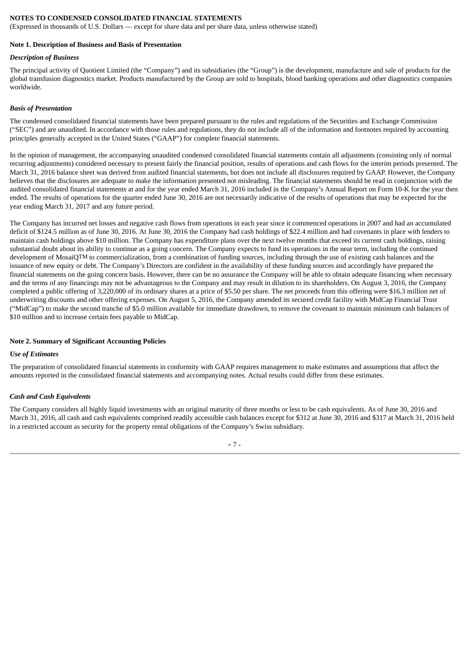## **NOTES TO CONDENSED CONSOLIDATED FINANCIAL STATEMENTS**

(Expressed in thousands of U.S. Dollars — except for share data and per share data, unless otherwise stated)

## **Note 1. Description of Business and Basis of Presentation**

## *Description of Business*

The principal activity of Quotient Limited (the "Company") and its subsidiaries (the "Group") is the development, manufacture and sale of products for the global transfusion diagnostics market. Products manufactured by the Group are sold to hospitals, blood banking operations and other diagnostics companies worldwide.

## *Basis of Presentation*

The condensed consolidated financial statements have been prepared pursuant to the rules and regulations of the Securities and Exchange Commission ("SEC") and are unaudited. In accordance with those rules and regulations, they do not include all of the information and footnotes required by accounting principles generally accepted in the United States ("GAAP") for complete financial statements.

In the opinion of management, the accompanying unaudited condensed consolidated financial statements contain all adjustments (consisting only of normal recurring adjustments) considered necessary to present fairly the financial position, results of operations and cash flows for the interim periods presented. The March 31, 2016 balance sheet was derived from audited financial statements, but does not include all disclosures required by GAAP. However, the Company believes that the disclosures are adequate to make the information presented not misleading. The financial statements should be read in conjunction with the audited consolidated financial statements at and for the year ended March 31, 2016 included in the Company's Annual Report on Form 10-K for the year then ended. The results of operations for the quarter ended June 30, 2016 are not necessarily indicative of the results of operations that may be expected for the year ending March 31, 2017 and any future period.

The Company has incurred net losses and negative cash flows from operations in each year since it commenced operations in 2007 and had an accumulated deficit of \$124.5 million as of June 30, 2016. At June 30, 2016 the Company had cash holdings of \$22.4 million and had covenants in place with lenders to maintain cash holdings above \$10 million. The Company has expenditure plans over the next twelve months that exceed its current cash holdings, raising substantial doubt about its ability to continue as a going concern. The Company expects to fund its operations in the near term, including the continued development of MosaiQTM to commercialization, from a combination of funding sources, including through the use of existing cash balances and the issuance of new equity or debt. The Company's Directors are confident in the availability of these funding sources and accordingly have prepared the financial statements on the going concern basis. However, there can be no assurance the Company will be able to obtain adequate financing when necessary and the terms of any financings may not be advantageous to the Company and may result in dilution to its shareholders. On August 3, 2016, the Company completed a public offering of 3,220,000 of its ordinary shares at a price of \$5.50 per share. The net proceeds from this offering were \$16.3 million net of underwriting discounts and other offering expenses. On August 5, 2016, the Company amended its secured credit facility with MidCap Financial Trust ("MidCap") to make the second tranche of \$5.0 million available for immediate drawdown, to remove the covenant to maintain minimum cash balances of \$10 million and to increase certain fees payable to MidCap.

## **Note 2. Summary of Significant Accounting Policies**

## *Use of Estimates*

The preparation of consolidated financial statements in conformity with GAAP requires management to make estimates and assumptions that affect the amounts reported in the consolidated financial statements and accompanying notes. Actual results could differ from these estimates.

## *Cash and Cash Equivalents*

The Company considers all highly liquid investments with an original maturity of three months or less to be cash equivalents. As of June 30, 2016 and March 31, 2016, all cash and cash equivalents comprised readily accessible cash balances except for \$312 at June 30, 2016 and \$317 at March 31, 2016 held in a restricted account as security for the property rental obligations of the Company's Swiss subsidiary.

- 7 -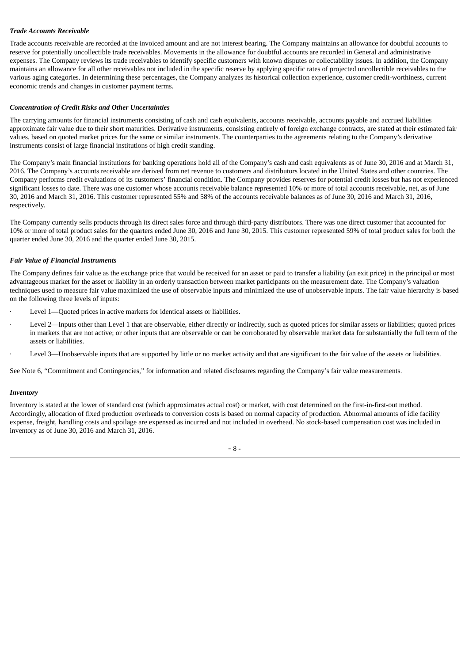## *Trade Accounts Receivable*

Trade accounts receivable are recorded at the invoiced amount and are not interest bearing. The Company maintains an allowance for doubtful accounts to reserve for potentially uncollectible trade receivables. Movements in the allowance for doubtful accounts are recorded in General and administrative expenses. The Company reviews its trade receivables to identify specific customers with known disputes or collectability issues. In addition, the Company maintains an allowance for all other receivables not included in the specific reserve by applying specific rates of projected uncollectible receivables to the various aging categories. In determining these percentages, the Company analyzes its historical collection experience, customer credit-worthiness, current economic trends and changes in customer payment terms.

#### *Concentration of Credit Risks and Other Uncertainties*

The carrying amounts for financial instruments consisting of cash and cash equivalents, accounts receivable, accounts payable and accrued liabilities approximate fair value due to their short maturities. Derivative instruments, consisting entirely of foreign exchange contracts, are stated at their estimated fair values, based on quoted market prices for the same or similar instruments. The counterparties to the agreements relating to the Company's derivative instruments consist of large financial institutions of high credit standing.

The Company's main financial institutions for banking operations hold all of the Company's cash and cash equivalents as of June 30, 2016 and at March 31, 2016. The Company's accounts receivable are derived from net revenue to customers and distributors located in the United States and other countries. The Company performs credit evaluations of its customers' financial condition. The Company provides reserves for potential credit losses but has not experienced significant losses to date. There was one customer whose accounts receivable balance represented 10% or more of total accounts receivable, net, as of June 30, 2016 and March 31, 2016. This customer represented 55% and 58% of the accounts receivable balances as of June 30, 2016 and March 31, 2016, respectively.

The Company currently sells products through its direct sales force and through third-party distributors. There was one direct customer that accounted for 10% or more of total product sales for the quarters ended June 30, 2016 and June 30, 2015. This customer represented 59% of total product sales for both the quarter ended June 30, 2016 and the quarter ended June 30, 2015.

#### *Fair Value of Financial Instruments*

The Company defines fair value as the exchange price that would be received for an asset or paid to transfer a liability (an exit price) in the principal or most advantageous market for the asset or liability in an orderly transaction between market participants on the measurement date. The Company's valuation techniques used to measure fair value maximized the use of observable inputs and minimized the use of unobservable inputs. The fair value hierarchy is based on the following three levels of inputs:

- Level 1—Quoted prices in active markets for identical assets or liabilities.
- Level 2—Inputs other than Level 1 that are observable, either directly or indirectly, such as quoted prices for similar assets or liabilities; quoted prices in markets that are not active; or other inputs that are observable or can be corroborated by observable market data for substantially the full term of the assets or liabilities.
- Level 3—Unobservable inputs that are supported by little or no market activity and that are significant to the fair value of the assets or liabilities.

See Note 6, "Commitment and Contingencies," for information and related disclosures regarding the Company's fair value measurements.

#### *Inventory*

Inventory is stated at the lower of standard cost (which approximates actual cost) or market, with cost determined on the first-in-first-out method. Accordingly, allocation of fixed production overheads to conversion costs is based on normal capacity of production. Abnormal amounts of idle facility expense, freight, handling costs and spoilage are expensed as incurred and not included in overhead. No stock-based compensation cost was included in inventory as of June 30, 2016 and March 31, 2016.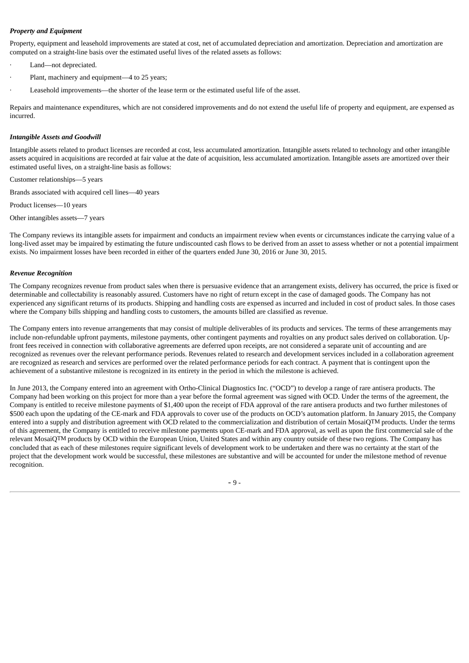## *Property and Equipment*

Property, equipment and leasehold improvements are stated at cost, net of accumulated depreciation and amortization. Depreciation and amortization are computed on a straight-line basis over the estimated useful lives of the related assets as follows:

- Land-not depreciated.
- Plant, machinery and equipment—4 to 25 years;
- Leasehold improvements—the shorter of the lease term or the estimated useful life of the asset.

Repairs and maintenance expenditures, which are not considered improvements and do not extend the useful life of property and equipment, are expensed as incurred.

#### *Intangible Assets and Goodwill*

Intangible assets related to product licenses are recorded at cost, less accumulated amortization. Intangible assets related to technology and other intangible assets acquired in acquisitions are recorded at fair value at the date of acquisition, less accumulated amortization. Intangible assets are amortized over their estimated useful lives, on a straight-line basis as follows:

Customer relationships—5 years

Brands associated with acquired cell lines—40 years

Product licenses—10 years

## Other intangibles assets—7 years

The Company reviews its intangible assets for impairment and conducts an impairment review when events or circumstances indicate the carrying value of a long-lived asset may be impaired by estimating the future undiscounted cash flows to be derived from an asset to assess whether or not a potential impairment exists. No impairment losses have been recorded in either of the quarters ended June 30, 2016 or June 30, 2015.

## *Revenue Recognition*

The Company recognizes revenue from product sales when there is persuasive evidence that an arrangement exists, delivery has occurred, the price is fixed or determinable and collectability is reasonably assured. Customers have no right of return except in the case of damaged goods. The Company has not experienced any significant returns of its products. Shipping and handling costs are expensed as incurred and included in cost of product sales. In those cases where the Company bills shipping and handling costs to customers, the amounts billed are classified as revenue.

The Company enters into revenue arrangements that may consist of multiple deliverables of its products and services. The terms of these arrangements may include non-refundable upfront payments, milestone payments, other contingent payments and royalties on any product sales derived on collaboration. Upfront fees received in connection with collaborative agreements are deferred upon receipts, are not considered a separate unit of accounting and are recognized as revenues over the relevant performance periods. Revenues related to research and development services included in a collaboration agreement are recognized as research and services are performed over the related performance periods for each contract. A payment that is contingent upon the achievement of a substantive milestone is recognized in its entirety in the period in which the milestone is achieved.

In June 2013, the Company entered into an agreement with Ortho-Clinical Diagnostics Inc. ("OCD") to develop a range of rare antisera products. The Company had been working on this project for more than a year before the formal agreement was signed with OCD. Under the terms of the agreement, the Company is entitled to receive milestone payments of \$1,400 upon the receipt of FDA approval of the rare antisera products and two further milestones of \$500 each upon the updating of the CE-mark and FDA approvals to cover use of the products on OCD's automation platform. In January 2015, the Company entered into a supply and distribution agreement with OCD related to the commercialization and distribution of certain MosaiQTM products. Under the terms of this agreement, the Company is entitled to receive milestone payments upon CE-mark and FDA approval, as well as upon the first commercial sale of the relevant MosaiQTM products by OCD within the European Union, United States and within any country outside of these two regions. The Company has concluded that as each of these milestones require significant levels of development work to be undertaken and there was no certainty at the start of the project that the development work would be successful, these milestones are substantive and will be accounted for under the milestone method of revenue recognition.

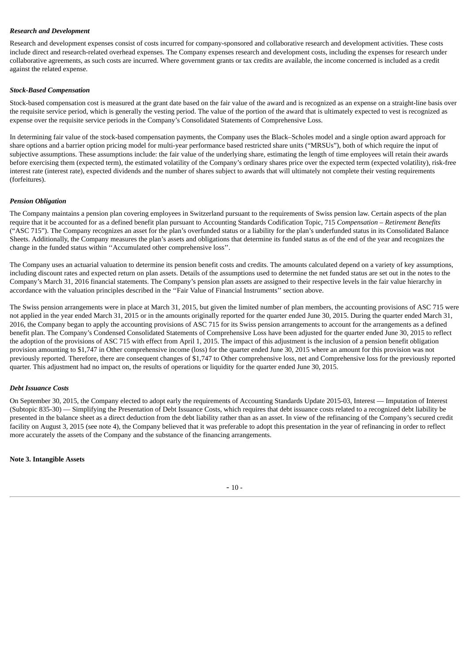## *Research and Development*

Research and development expenses consist of costs incurred for company-sponsored and collaborative research and development activities. These costs include direct and research-related overhead expenses. The Company expenses research and development costs, including the expenses for research under collaborative agreements, as such costs are incurred. Where government grants or tax credits are available, the income concerned is included as a credit against the related expense.

## *Stock-Based Compensation*

Stock-based compensation cost is measured at the grant date based on the fair value of the award and is recognized as an expense on a straight-line basis over the requisite service period, which is generally the vesting period. The value of the portion of the award that is ultimately expected to vest is recognized as expense over the requisite service periods in the Company's Consolidated Statements of Comprehensive Loss.

In determining fair value of the stock-based compensation payments, the Company uses the Black–Scholes model and a single option award approach for share options and a barrier option pricing model for multi-year performance based restricted share units ("MRSUs"), both of which require the input of subjective assumptions. These assumptions include: the fair value of the underlying share, estimating the length of time employees will retain their awards before exercising them (expected term), the estimated volatility of the Company's ordinary shares price over the expected term (expected volatility), risk-free interest rate (interest rate), expected dividends and the number of shares subject to awards that will ultimately not complete their vesting requirements (forfeitures).

## *Pension Obligation*

The Company maintains a pension plan covering employees in Switzerland pursuant to the requirements of Swiss pension law. Certain aspects of the plan require that it be accounted for as a defined benefit plan pursuant to Accounting Standards Codification Topic, 715 *Compensation – Retirement Benefits* ("ASC 715"). The Company recognizes an asset for the plan's overfunded status or a liability for the plan's underfunded status in its Consolidated Balance Sheets. Additionally, the Company measures the plan's assets and obligations that determine its funded status as of the end of the year and recognizes the change in the funded status within ''Accumulated other comprehensive loss''.

The Company uses an actuarial valuation to determine its pension benefit costs and credits. The amounts calculated depend on a variety of key assumptions, including discount rates and expected return on plan assets. Details of the assumptions used to determine the net funded status are set out in the notes to the Company's March 31, 2016 financial statements. The Company's pension plan assets are assigned to their respective levels in the fair value hierarchy in accordance with the valuation principles described in the ''Fair Value of Financial Instruments'' section above.

The Swiss pension arrangements were in place at March 31, 2015, but given the limited number of plan members, the accounting provisions of ASC 715 were not applied in the year ended March 31, 2015 or in the amounts originally reported for the quarter ended June 30, 2015. During the quarter ended March 31, 2016, the Company began to apply the accounting provisions of ASC 715 for its Swiss pension arrangements to account for the arrangements as a defined benefit plan. The Company's Condensed Consolidated Statements of Comprehensive Loss have been adjusted for the quarter ended June 30, 2015 to reflect the adoption of the provisions of ASC 715 with effect from April 1, 2015. The impact of this adjustment is the inclusion of a pension benefit obligation provision amounting to \$1,747 in Other comprehensive income (loss) for the quarter ended June 30, 2015 where an amount for this provision was not previously reported. Therefore, there are consequent changes of \$1,747 to Other comprehensive loss, net and Comprehensive loss for the previously reported quarter. This adjustment had no impact on, the results of operations or liquidity for the quarter ended June 30, 2015.

## *Debt Issuance Costs*

On September 30, 2015, the Company elected to adopt early the requirements of Accounting Standards Update 2015-03, Interest — Imputation of Interest (Subtopic 835-30) — Simplifying the Presentation of Debt Issuance Costs, which requires that debt issuance costs related to a recognized debt liability be presented in the balance sheet as a direct deduction from the debt liability rather than as an asset. In view of the refinancing of the Company's secured credit facility on August 3, 2015 (see note 4), the Company believed that it was preferable to adopt this presentation in the year of refinancing in order to reflect more accurately the assets of the Company and the substance of the financing arrangements.

**Note 3. Intangible Assets**

## $-10-$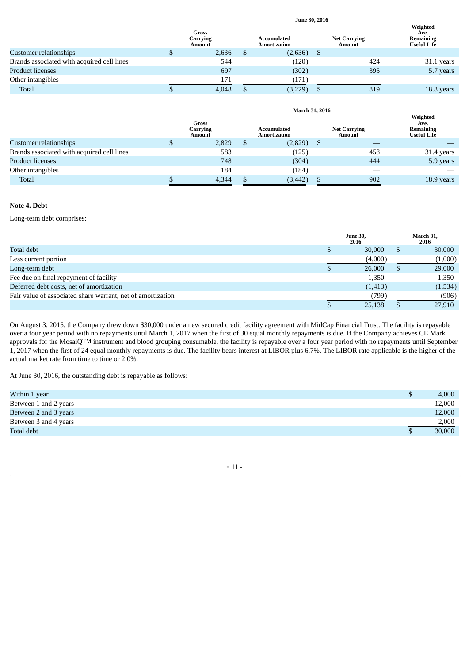|                                            | <b>Gross</b><br>Carrying<br>Amount | <b>Accumulated</b><br>Amortization |         |  | <b>Net Carrying</b><br>Amount | Weighted<br>Ave.<br><b>Remaining</b><br><b>Useful Life</b> |  |
|--------------------------------------------|------------------------------------|------------------------------------|---------|--|-------------------------------|------------------------------------------------------------|--|
| Customer relationships                     | 2,636                              |                                    | (2,636) |  |                               |                                                            |  |
| Brands associated with acquired cell lines | 544                                |                                    | (120)   |  | 424                           | 31.1 years                                                 |  |
| <b>Product licenses</b>                    | 697                                |                                    | (302)   |  | 395                           | 5.7 years                                                  |  |
| Other intangibles                          | 171                                |                                    | (171)   |  |                               |                                                            |  |
| Total                                      | 4,048                              |                                    | (3,229) |  | 819                           | 18.8 years                                                 |  |

|                                            | <b>March 31, 2016</b>       |                                    |          |     |                               |                                                     |  |  |  |
|--------------------------------------------|-----------------------------|------------------------------------|----------|-----|-------------------------------|-----------------------------------------------------|--|--|--|
|                                            | Gross<br>Carrying<br>Amount | Accumulated<br><b>Amortization</b> |          |     | <b>Net Carrying</b><br>Amount | Weighted<br>Ave.<br>Remaining<br><b>Useful Life</b> |  |  |  |
| Customer relationships                     | 2,829                       |                                    | (2,829)  | - S |                               |                                                     |  |  |  |
| Brands associated with acquired cell lines | 583                         |                                    | (125)    |     | 458                           | 31.4 years                                          |  |  |  |
| <b>Product licenses</b>                    | 748                         |                                    | (304)    |     | 444                           | 5.9 years                                           |  |  |  |
| Other intangibles                          | 184                         |                                    | (184)    |     |                               |                                                     |  |  |  |
| Total                                      | 4,344                       |                                    | (3, 442) |     | 902                           | 18.9 years                                          |  |  |  |

## **Note 4. Debt**

Long-term debt comprises:

|                                                             |  | <b>June 30,</b><br>2016 | March 31,<br>2016 |         |
|-------------------------------------------------------------|--|-------------------------|-------------------|---------|
| Total debt                                                  |  | 30,000                  |                   | 30,000  |
| Less current portion                                        |  | (4,000)                 |                   | (1,000) |
| Long-term debt                                              |  | 26,000                  |                   | 29,000  |
| Fee due on final repayment of facility                      |  | 1,350                   |                   | 1,350   |
| Deferred debt costs, net of amortization                    |  | (1, 413)                |                   | (1,534) |
| Fair value of associated share warrant, net of amortization |  | (799)                   |                   | (906)   |
|                                                             |  | 25,138                  |                   | 27,910  |

On August 3, 2015, the Company drew down \$30,000 under a new secured credit facility agreement with MidCap Financial Trust. The facility is repayable over a four year period with no repayments until March 1, 2017 when the first of 30 equal monthly repayments is due. If the Company achieves CE Mark approvals for the MosaiQTM instrument and blood grouping consumable, the facility is repayable over a four year period with no repayments until September 1, 2017 when the first of 24 equal monthly repayments is due. The facility bears interest at LIBOR plus 6.7%. The LIBOR rate applicable is the higher of the actual market rate from time to time or 2.0%.

At June 30, 2016, the outstanding debt is repayable as follows:

| Within 1 year         | 4,000  |
|-----------------------|--------|
| Between 1 and 2 years | 12,000 |
| Between 2 and 3 years | 12,000 |
| Between 3 and 4 years | 2,000  |
| Total debt            | 30,000 |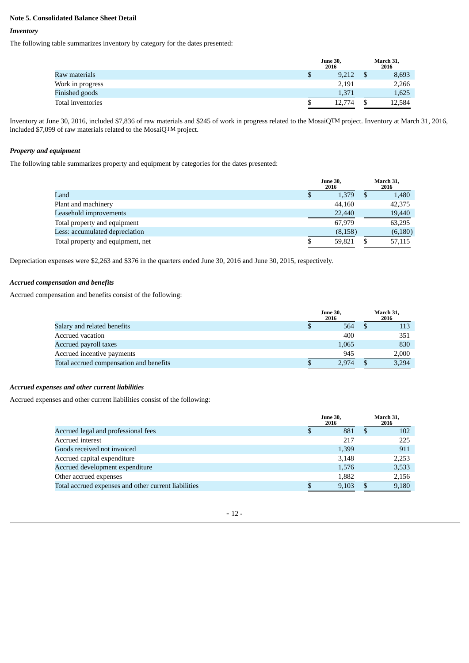## **Note 5. Consolidated Balance Sheet Detail**

## *Inventory*

The following table summarizes inventory by category for the dates presented:

|                   |   | <b>June 30,</b><br>2016 | March 31,<br>2016 |        |  |
|-------------------|---|-------------------------|-------------------|--------|--|
| Raw materials     | J | 9,212                   |                   | 8,693  |  |
| Work in progress  |   | 2,191                   |                   | 2,266  |  |
| Finished goods    |   | 1,371                   |                   | 1,625  |  |
| Total inventories |   | 12,774                  |                   | 12,584 |  |

Inventory at June 30, 2016, included \$7,836 of raw materials and \$245 of work in progress related to the MosaiQTM project. Inventory at March 31, 2016, included \$7,099 of raw materials related to the MosaiQTM project.

## *Property and equipment*

The following table summarizes property and equipment by categories for the dates presented:

|                                   | <b>June 30,</b><br>2016 | March 31,<br>2016 |         |
|-----------------------------------|-------------------------|-------------------|---------|
| Land                              | 1,379                   |                   | 1,480   |
| Plant and machinery               | 44,160                  |                   | 42,375  |
| Leasehold improvements            | 22,440                  |                   | 19,440  |
| Total property and equipment      | 67.979                  |                   | 63,295  |
| Less: accumulated depreciation    | (8, 158)                |                   | (6,180) |
| Total property and equipment, net | 59,821                  |                   | 57,115  |

Depreciation expenses were \$2,263 and \$376 in the quarters ended June 30, 2016 and June 30, 2015, respectively.

## *Accrued compensation and benefits*

Accrued compensation and benefits consist of the following:

|                                         | <b>June 30,</b><br>2016 | March 31,<br>2016 |       |  |
|-----------------------------------------|-------------------------|-------------------|-------|--|
| Salary and related benefits             | 564                     |                   | 113   |  |
| Accrued vacation                        | 400                     |                   | 351   |  |
| Accrued payroll taxes                   | 1,065                   |                   | 830   |  |
| Accrued incentive payments              | 945                     |                   | 2,000 |  |
| Total accrued compensation and benefits | 2,974                   |                   | 3,294 |  |

## *Accrued expenses and other current liabilities*

Accrued expenses and other current liabilities consist of the following:

|                                                      | <b>June 30,</b><br>2016 |       |  | March 31,<br>2016 |
|------------------------------------------------------|-------------------------|-------|--|-------------------|
| Accrued legal and professional fees                  |                         | 881   |  | 102               |
| Accrued interest                                     |                         | 217   |  | 225               |
| Goods received not invoiced                          |                         | 1,399 |  | 911               |
| Accrued capital expenditure                          |                         | 3,148 |  | 2,253             |
| Accrued development expenditure                      |                         | 1,576 |  | 3,533             |
| Other accrued expenses                               |                         | 1,882 |  | 2,156             |
| Total accrued expenses and other current liabilities |                         | 9.103 |  | 9.180             |

- 12 -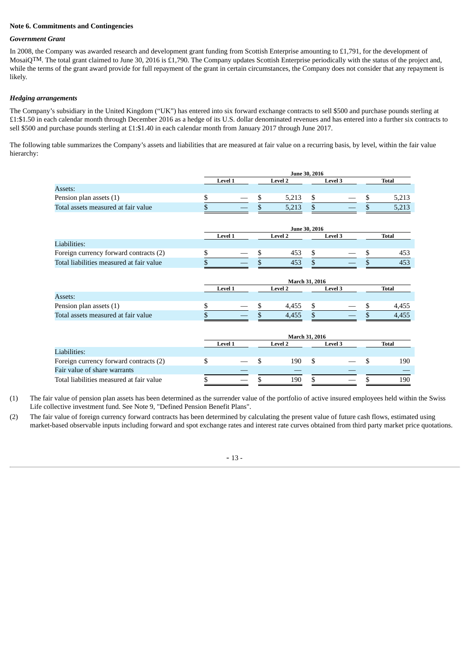## **Note 6. Commitments and Contingencies**

## *Government Grant*

In 2008, the Company was awarded research and development grant funding from Scottish Enterprise amounting to £1,791, for the development of MosaiQTM. The total grant claimed to June 30, 2016 is £1,790. The Company updates Scottish Enterprise periodically with the status of the project and, while the terms of the grant award provide for full repayment of the grant in certain circumstances, the Company does not consider that any repayment is likely.

## *Hedging arrangements*

The Company's subsidiary in the United Kingdom ("UK") has entered into six forward exchange contracts to sell \$500 and purchase pounds sterling at £1:\$1.50 in each calendar month through December 2016 as a hedge of its U.S. dollar denominated revenues and has entered into a further six contracts to sell \$500 and purchase pounds sterling at £1:\$1.40 in each calendar month from January 2017 through June 2017.

The following table summarizes the Company's assets and liabilities that are measured at fair value on a recurring basis, by level, within the fair value hierarchy:

|                                          |                | June 30, 2016 |    |                |                       |                |    |              |  |  |
|------------------------------------------|----------------|---------------|----|----------------|-----------------------|----------------|----|--------------|--|--|
|                                          | Level 1        |               |    | <b>Level 2</b> | <b>Level 3</b>        |                |    | <b>Total</b> |  |  |
| Assets:                                  |                |               |    |                |                       |                |    |              |  |  |
| Pension plan assets (1)                  | \$             |               | \$ | 5,213          | \$                    |                | S  | 5,213        |  |  |
| Total assets measured at fair value      | \$             |               | \$ | 5,213          | \$                    |                | \$ | 5,213        |  |  |
|                                          |                | June 30, 2016 |    |                |                       |                |    |              |  |  |
|                                          | Level 1        |               |    | Level 2        |                       | Level 3        |    | <b>Total</b> |  |  |
| Liabilities:                             |                |               |    |                |                       |                |    |              |  |  |
| Foreign currency forward contracts (2)   | \$             |               | \$ | 453            | \$                    |                | \$ | 453          |  |  |
| Total liabilities measured at fair value | \$             |               | \$ | 453            | $\mathbf{s}$          |                | \$ | 453          |  |  |
|                                          |                |               |    |                | <b>March 31, 2016</b> |                |    |              |  |  |
|                                          | Level 1        |               |    | Level 2        |                       | Level 3        |    | <b>Total</b> |  |  |
| Assets:                                  |                |               |    |                |                       |                |    |              |  |  |
| Pension plan assets (1)                  | \$             |               | \$ | 4,455          | \$                    |                | \$ | 4,455        |  |  |
| Total assets measured at fair value      | \$             |               | \$ | 4,455          | \$                    |                | \$ | 4,455        |  |  |
|                                          |                |               |    |                |                       |                |    |              |  |  |
|                                          |                |               |    |                | March 31, 2016        |                |    |              |  |  |
|                                          | <b>Level 1</b> |               |    | <b>Level 2</b> |                       | <b>Level 3</b> |    | <b>Total</b> |  |  |
| Liabilities:                             |                |               |    |                |                       |                |    |              |  |  |

| Foreign currency forward contracts (2)   |  | 190 |  | L9C |
|------------------------------------------|--|-----|--|-----|
| Fair value of share warrants             |  |     |  |     |
| Total liabilities measured at fair value |  | 190 |  | 190 |

(1) The fair value of pension plan assets has been determined as the surrender value of the portfolio of active insured employees held within the Swiss Life collective investment fund. See Note 9, "Defined Pension Benefit Plans".

(2) The fair value of foreign currency forward contracts has been determined by calculating the present value of future cash flows, estimated using market-based observable inputs including forward and spot exchange rates and interest rate curves obtained from third party market price quotations.

- 13 -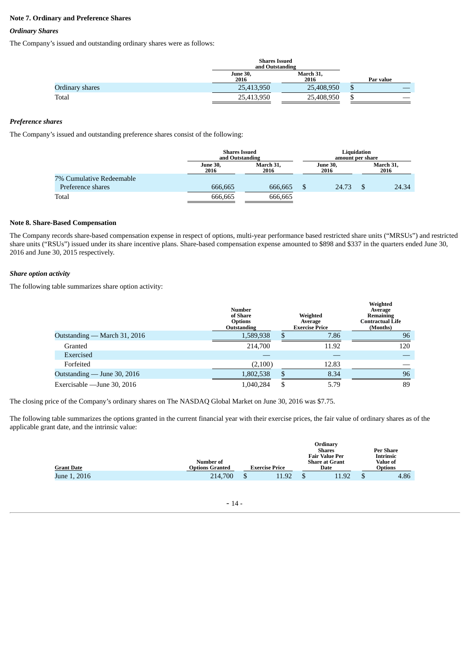## **Note 7. Ordinary and Preference Shares**

## *Ordinary Shares*

The Company's issued and outstanding ordinary shares were as follows:

|                 | <b>Shares Issued</b><br>and Outstanding |                   |    |           |
|-----------------|-----------------------------------------|-------------------|----|-----------|
|                 | <b>June 30,</b><br>2016                 | March 31,<br>2016 |    | Par value |
| Ordinary shares | 25,413,950                              | 25,408,950        | D  |           |
| Total           | 25,413,950                              | 25,408,950        | \$ |           |

## *Preference shares*

The Company's issued and outstanding preference shares consist of the following:

|                          |                         | <b>Shares Issued</b><br>and Outstanding |    |                         | Liquidation<br>amount per share |                   |  |  |
|--------------------------|-------------------------|-----------------------------------------|----|-------------------------|---------------------------------|-------------------|--|--|
|                          | <b>June 30,</b><br>2016 | March 31,<br>2016                       |    | <b>June 30,</b><br>2016 |                                 | March 31,<br>2016 |  |  |
| 7% Cumulative Redeemable |                         |                                         |    |                         |                                 |                   |  |  |
| Preference shares        | 666,665                 | 666.665                                 | \$ | 24.73                   |                                 | 24.34             |  |  |
| Total                    | 666.665                 | 666,665                                 |    |                         |                                 |                   |  |  |

## **Note 8. Share-Based Compensation**

The Company records share-based compensation expense in respect of options, multi-year performance based restricted share units ("MRSUs") and restricted share units ("RSUs") issued under its share incentive plans. Share-based compensation expense amounted to \$898 and \$337 in the quarters ended June 30, 2016 and June 30, 2015 respectively.

## *Share option activity*

The following table summarizes share option activity:

|                              | <b>Number</b><br>of Share<br><b>Options</b><br>Outstanding | Weighted<br>Average<br><b>Exercise Price</b> | Weighted<br>Average<br><b>Remaining</b><br><b>Contractual Life</b><br>(Months) |
|------------------------------|------------------------------------------------------------|----------------------------------------------|--------------------------------------------------------------------------------|
| Outstanding — March 31, 2016 | 1,589,938                                                  | 7.86                                         | 96                                                                             |
| Granted                      | 214,700                                                    | 11.92                                        | 120                                                                            |
| Exercised                    |                                                            |                                              |                                                                                |
| Forfeited                    | (2,100)                                                    | 12.83                                        |                                                                                |
| Outstanding — June 30, 2016  | 1,802,538                                                  | 8.34                                         | 96                                                                             |
| Exercisable — June 30, 2016  | 1,040,284                                                  | \$<br>5.79                                   | 89                                                                             |

The closing price of the Company's ordinary shares on The NASDAQ Global Market on June 30, 2016 was \$7.75.

The following table summarizes the options granted in the current financial year with their exercise prices, the fair value of ordinary shares as of the applicable grant date, and the intrinsic value:

|                 |                        |                       |       |   | Ordinary              |   |                  |                       |                 |  |  |
|-----------------|------------------------|-----------------------|-------|---|-----------------------|---|------------------|-----------------------|-----------------|--|--|
|                 |                        |                       |       |   | <b>Shares</b>         |   | <b>Per Share</b> |                       |                 |  |  |
|                 |                        |                       |       |   | <b>Fair Value Per</b> |   | <b>Intrinsic</b> |                       |                 |  |  |
|                 | Number of              |                       |       |   |                       |   |                  | <b>Share at Grant</b> | <b>Value of</b> |  |  |
| Grant Date      | <b>Options Granted</b> | <b>Exercise Price</b> |       |   | Date                  |   | <b>Options</b>   |                       |                 |  |  |
| 2016<br>June 1. | 214,700                |                       | 11.92 | Œ | 11.92                 | D | 4.86             |                       |                 |  |  |

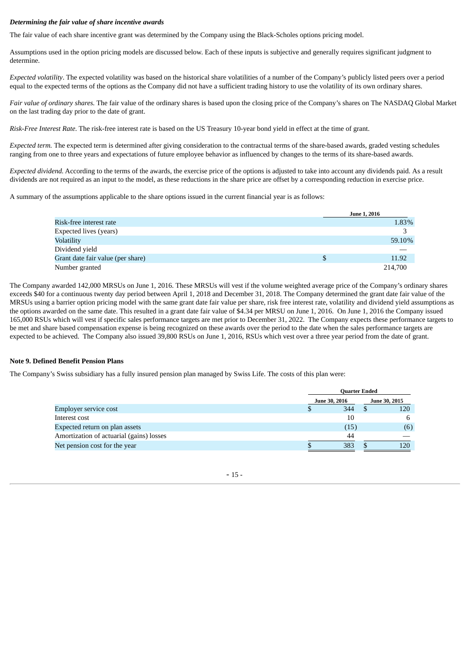## *Determining the fair value of share incentive awards*

The fair value of each share incentive grant was determined by the Company using the Black-Scholes options pricing model.

Assumptions used in the option pricing models are discussed below. Each of these inputs is subjective and generally requires significant judgment to determine.

*Expected volatility*. The expected volatility was based on the historical share volatilities of a number of the Company's publicly listed peers over a period equal to the expected terms of the options as the Company did not have a sufficient trading history to use the volatility of its own ordinary shares.

*Fair value of ordinary shares.* The fair value of the ordinary shares is based upon the closing price of the Company's shares on The NASDAQ Global Market on the last trading day prior to the date of grant.

*Risk-Free Interest Rate.* The risk-free interest rate is based on the US Treasury 10-year bond yield in effect at the time of grant.

*Expected term.* The expected term is determined after giving consideration to the contractual terms of the share-based awards, graded vesting schedules ranging from one to three years and expectations of future employee behavior as influenced by changes to the terms of its share-based awards.

*Expected dividend.* According to the terms of the awards, the exercise price of the options is adjusted to take into account any dividends paid. As a result dividends are not required as an input to the model, as these reductions in the share price are offset by a corresponding reduction in exercise price.

A summary of the assumptions applicable to the share options issued in the current financial year is as follows:

|                                   | <b>June 1, 2016</b> |         |
|-----------------------------------|---------------------|---------|
| Risk-free interest rate           |                     | 1.83%   |
| Expected lives (years)            |                     |         |
| Volatility                        |                     | 59.10%  |
| Dividend yield                    |                     |         |
| Grant date fair value (per share) | \$                  | 11.92   |
| Number granted                    |                     | 214,700 |

The Company awarded 142,000 MRSUs on June 1, 2016. These MRSUs will vest if the volume weighted average price of the Company's ordinary shares exceeds \$40 for a continuous twenty day period between April 1, 2018 and December 31, 2018. The Company determined the grant date fair value of the MRSUs using a barrier option pricing model with the same grant date fair value per share, risk free interest rate, volatility and dividend yield assumptions as the options awarded on the same date. This resulted in a grant date fair value of \$4.34 per MRSU on June 1, 2016. On June 1, 2016 the Company issued 165,000 RSUs which will vest if specific sales performance targets are met prior to December 31, 2022. The Company expects these performance targets to be met and share based compensation expense is being recognized on these awards over the period to the date when the sales performance targets are expected to be achieved. The Company also issued 39,800 RSUs on June 1, 2016, RSUs which vest over a three year period from the date of grant.

## **Note 9. Defined Benefit Pension Plans**

The Company's Swiss subsidiary has a fully insured pension plan managed by Swiss Life. The costs of this plan were:

|                                          | <b>Quarter Ended</b> |  |               |  |
|------------------------------------------|----------------------|--|---------------|--|
|                                          | <b>June 30, 2016</b> |  | June 30, 2015 |  |
| Employer service cost                    | 344                  |  | 120           |  |
| Interest cost                            | 10                   |  | 6             |  |
| Expected return on plan assets           | (15)                 |  | (6)           |  |
| Amortization of actuarial (gains) losses | 44                   |  |               |  |
| Net pension cost for the year            | 383                  |  | 120           |  |

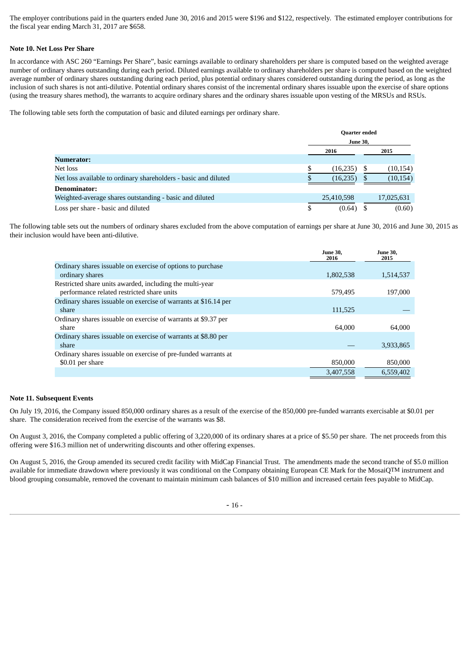The employer contributions paid in the quarters ended June 30, 2016 and 2015 were \$196 and \$122, respectively. The estimated employer contributions for the fiscal year ending March 31, 2017 are \$658.

#### **Note 10. Net Loss Per Share**

In accordance with ASC 260 "Earnings Per Share", basic earnings available to ordinary shareholders per share is computed based on the weighted average number of ordinary shares outstanding during each period. Diluted earnings available to ordinary shareholders per share is computed based on the weighted average number of ordinary shares outstanding during each period, plus potential ordinary shares considered outstanding during the period, as long as the inclusion of such shares is not anti-dilutive. Potential ordinary shares consist of the incremental ordinary shares issuable upon the exercise of share options (using the treasury shares method), the warrants to acquire ordinary shares and the ordinary shares issuable upon vesting of the MRSUs and RSUs.

The following table sets forth the computation of basic and diluted earnings per ordinary share.

|                                                                 |                 | <b>Quarter ended</b> |  |            |  |  |  |  |
|-----------------------------------------------------------------|-----------------|----------------------|--|------------|--|--|--|--|
|                                                                 | <b>June 30,</b> |                      |  |            |  |  |  |  |
|                                                                 |                 | 2016                 |  | 2015       |  |  |  |  |
| <b>Numerator:</b>                                               |                 |                      |  |            |  |  |  |  |
| Net loss                                                        |                 | (16,235)             |  | (10, 154)  |  |  |  |  |
| Net loss available to ordinary shareholders - basic and diluted |                 | (16, 235)            |  | (10, 154)  |  |  |  |  |
| Denominator:                                                    |                 |                      |  |            |  |  |  |  |
| Weighted-average shares outstanding - basic and diluted         |                 | 25,410,598           |  | 17,025,631 |  |  |  |  |
| Loss per share - basic and diluted                              |                 | (0.64)               |  | (0.60)     |  |  |  |  |

The following table sets out the numbers of ordinary shares excluded from the above computation of earnings per share at June 30, 2016 and June 30, 2015 as their inclusion would have been anti-dilutive.

|                                                                 | <b>June 30,</b><br>2016 | <b>June 30,</b><br>2015 |
|-----------------------------------------------------------------|-------------------------|-------------------------|
| Ordinary shares issuable on exercise of options to purchase     |                         |                         |
| ordinary shares                                                 | 1,802,538               | 1,514,537               |
| Restricted share units awarded, including the multi-year        |                         |                         |
| performance related restricted share units                      | 579,495                 | 197,000                 |
| Ordinary shares issuable on exercise of warrants at \$16.14 per |                         |                         |
| share                                                           | 111,525                 |                         |
| Ordinary shares issuable on exercise of warrants at \$9.37 per  |                         |                         |
| share                                                           | 64,000                  | 64,000                  |
| Ordinary shares issuable on exercise of warrants at \$8.80 per  |                         |                         |
| share                                                           |                         | 3,933,865               |
| Ordinary shares issuable on exercise of pre-funded warrants at  |                         |                         |
| \$0.01 per share                                                | 850,000                 | 850,000                 |
|                                                                 | 3,407,558               | 6.559.402               |

## **Note 11. Subsequent Events**

On July 19, 2016, the Company issued 850,000 ordinary shares as a result of the exercise of the 850,000 pre-funded warrants exercisable at \$0.01 per share. The consideration received from the exercise of the warrants was \$8.

On August 3, 2016, the Company completed a public offering of 3,220,000 of its ordinary shares at a price of \$5.50 per share. The net proceeds from this offering were \$16.3 million net of underwriting discounts and other offering expenses.

On August 5, 2016, the Group amended its secured credit facility with MidCap Financial Trust. The amendments made the second tranche of \$5.0 million available for immediate drawdown where previously it was conditional on the Company obtaining European CE Mark for the MosaiQTM instrument and blood grouping consumable, removed the covenant to maintain minimum cash balances of \$10 million and increased certain fees payable to MidCap.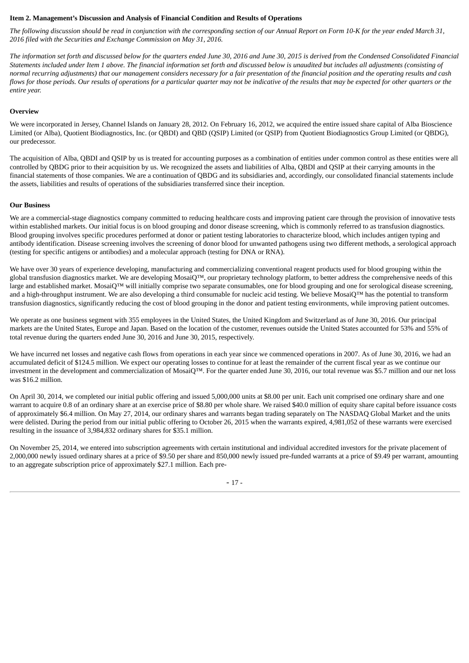## <span id="page-18-0"></span>**Item 2. Management's Discussion and Analysis of Financial Condition and Results of Operations**

The following discussion should be read in conjunction with the corresponding section of our Annual Report on Form 10-K for the year ended March 31, *2016 filed with the Securities and Exchange Commission on May 31, 2016.*

The information set forth and discussed below for the quarters ended June 30, 2016 and June 30, 2015 is derived from the Condensed Consolidated Financial Statements included under Item 1 above. The financial information set forth and discussed below is unaudited but includes all adjustments (consisting of normal recurring adjustments) that our management considers necessary for a fair presentation of the financial position and the operating results and cash flows for those periods. Our results of operations for a particular quarter may not be indicative of the results that may be expected for other quarters or the *entire year.*

## **Overview**

We were incorporated in Jersey, Channel Islands on January 28, 2012. On February 16, 2012, we acquired the entire issued share capital of Alba Bioscience Limited (or Alba), Quotient Biodiagnostics, Inc. (or QBDI) and QBD (QSIP) Limited (or QSIP) from Quotient Biodiagnostics Group Limited (or QBDG), our predecessor.

The acquisition of Alba, QBDI and QSIP by us is treated for accounting purposes as a combination of entities under common control as these entities were all controlled by QBDG prior to their acquisition by us. We recognized the assets and liabilities of Alba, QBDI and QSIP at their carrying amounts in the financial statements of those companies. We are a continuation of QBDG and its subsidiaries and, accordingly, our consolidated financial statements include the assets, liabilities and results of operations of the subsidiaries transferred since their inception.

## **Our Business**

We are a commercial-stage diagnostics company committed to reducing healthcare costs and improving patient care through the provision of innovative tests within established markets. Our initial focus is on blood grouping and donor disease screening, which is commonly referred to as transfusion diagnostics. Blood grouping involves specific procedures performed at donor or patient testing laboratories to characterize blood, which includes antigen typing and antibody identification. Disease screening involves the screening of donor blood for unwanted pathogens using two different methods, a serological approach (testing for specific antigens or antibodies) and a molecular approach (testing for DNA or RNA).

We have over 30 years of experience developing, manufacturing and commercializing conventional reagent products used for blood grouping within the global transfusion diagnostics market. We are developing MosaiQ™, our proprietary technology platform, to better address the comprehensive needs of this large and established market. MosaiQ™ will initially comprise two separate consumables, one for blood grouping and one for serological disease screening, and a high-throughput instrument. We are also developing a third consumable for nucleic acid testing. We believe MosaiQ™ has the potential to transform transfusion diagnostics, significantly reducing the cost of blood grouping in the donor and patient testing environments, while improving patient outcomes.

We operate as one business segment with 355 employees in the United States, the United Kingdom and Switzerland as of June 30, 2016. Our principal markets are the United States, Europe and Japan. Based on the location of the customer, revenues outside the United States accounted for 53% and 55% of total revenue during the quarters ended June 30, 2016 and June 30, 2015, respectively.

We have incurred net losses and negative cash flows from operations in each year since we commenced operations in 2007. As of June 30, 2016, we had an accumulated deficit of \$124.5 million. We expect our operating losses to continue for at least the remainder of the current fiscal year as we continue our investment in the development and commercialization of MosaiQ™. For the quarter ended June 30, 2016, our total revenue was \$5.7 million and our net loss was \$16.2 million.

On April 30, 2014, we completed our initial public offering and issued 5,000,000 units at \$8.00 per unit. Each unit comprised one ordinary share and one warrant to acquire 0.8 of an ordinary share at an exercise price of \$8.80 per whole share. We raised \$40.0 million of equity share capital before issuance costs of approximately \$6.4 million. On May 27, 2014, our ordinary shares and warrants began trading separately on The NASDAQ Global Market and the units were delisted. During the period from our initial public offering to October 26, 2015 when the warrants expired, 4,981,052 of these warrants were exercised resulting in the issuance of 3,984,832 ordinary shares for \$35.1 million.

On November 25, 2014, we entered into subscription agreements with certain institutional and individual accredited investors for the private placement of 2,000,000 newly issued ordinary shares at a price of \$9.50 per share and 850,000 newly issued pre-funded warrants at a price of \$9.49 per warrant, amounting to an aggregate subscription price of approximately \$27.1 million. Each pre-

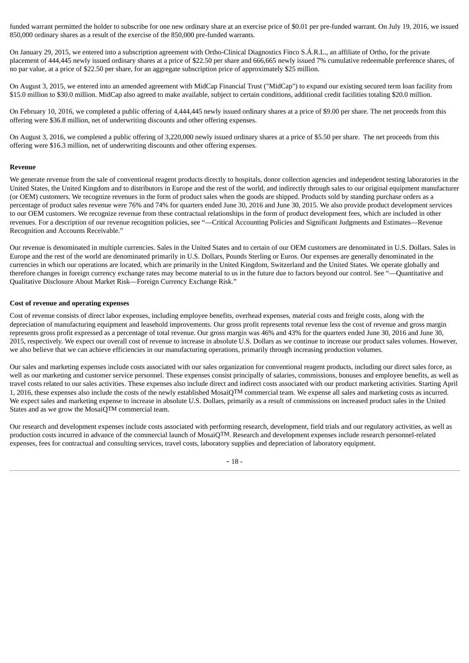funded warrant permitted the holder to subscribe for one new ordinary share at an exercise price of \$0.01 per pre-funded warrant. On July 19, 2016, we issued 850,000 ordinary shares as a result of the exercise of the 850,000 pre-funded warrants.

On January 29, 2015, we entered into a subscription agreement with Ortho-Clinical Diagnostics Finco S.Á.R.L., an affiliate of Ortho, for the private placement of 444,445 newly issued ordinary shares at a price of \$22.50 per share and 666,665 newly issued 7% cumulative redeemable preference shares, of no par value, at a price of \$22.50 per share, for an aggregate subscription price of approximately \$25 million.

On August 3, 2015, we entered into an amended agreement with MidCap Financial Trust ("MidCap") to expand our existing secured term loan facility from \$15.0 million to \$30.0 million. MidCap also agreed to make available, subject to certain conditions, additional credit facilities totaling \$20.0 million.

On February 10, 2016, we completed a public offering of 4,444,445 newly issued ordinary shares at a price of \$9.00 per share. The net proceeds from this offering were \$36.8 million, net of underwriting discounts and other offering expenses.

On August 3, 2016, we completed a public offering of 3,220,000 newly issued ordinary shares at a price of \$5.50 per share. The net proceeds from this offering were \$16.3 million, net of underwriting discounts and other offering expenses.

## **Revenue**

We generate revenue from the sale of conventional reagent products directly to hospitals, donor collection agencies and independent testing laboratories in the United States, the United Kingdom and to distributors in Europe and the rest of the world, and indirectly through sales to our original equipment manufacturer (or OEM) customers. We recognize revenues in the form of product sales when the goods are shipped. Products sold by standing purchase orders as a percentage of product sales revenue were 76% and 74% for quarters ended June 30, 2016 and June 30, 2015. We also provide product development services to our OEM customers. We recognize revenue from these contractual relationships in the form of product development fees, which are included in other revenues. For a description of our revenue recognition policies, see "—Critical Accounting Policies and Significant Judgments and Estimates—Revenue Recognition and Accounts Receivable."

Our revenue is denominated in multiple currencies. Sales in the United States and to certain of our OEM customers are denominated in U.S. Dollars. Sales in Europe and the rest of the world are denominated primarily in U.S. Dollars, Pounds Sterling or Euros. Our expenses are generally denominated in the currencies in which our operations are located, which are primarily in the United Kingdom, Switzerland and the United States. We operate globally and therefore changes in foreign currency exchange rates may become material to us in the future due to factors beyond our control. See "—Quantitative and Qualitative Disclosure About Market Risk—Foreign Currency Exchange Risk."

## **Cost of revenue and operating expenses**

Cost of revenue consists of direct labor expenses, including employee benefits, overhead expenses, material costs and freight costs, along with the depreciation of manufacturing equipment and leasehold improvements. Our gross profit represents total revenue less the cost of revenue and gross margin represents gross profit expressed as a percentage of total revenue. Our gross margin was 46% and 43% for the quarters ended June 30, 2016 and June 30, 2015, respectively. We expect our overall cost of revenue to increase in absolute U.S. Dollars as we continue to increase our product sales volumes. However, we also believe that we can achieve efficiencies in our manufacturing operations, primarily through increasing production volumes.

Our sales and marketing expenses include costs associated with our sales organization for conventional reagent products, including our direct sales force, as well as our marketing and customer service personnel. These expenses consist principally of salaries, commissions, bonuses and employee benefits, as well as travel costs related to our sales activities. These expenses also include direct and indirect costs associated with our product marketing activities. Starting April 1, 2016, these expenses also include the costs of the newly established MosaiQTM commercial team. We expense all sales and marketing costs as incurred. We expect sales and marketing expense to increase in absolute U.S. Dollars, primarily as a result of commissions on increased product sales in the United States and as we grow the MosaiQTM commercial team.

Our research and development expenses include costs associated with performing research, development, field trials and our regulatory activities, as well as production costs incurred in advance of the commercial launch of MosaiQTM. Research and development expenses include research personnel-related expenses, fees for contractual and consulting services, travel costs, laboratory supplies and depreciation of laboratory equipment.

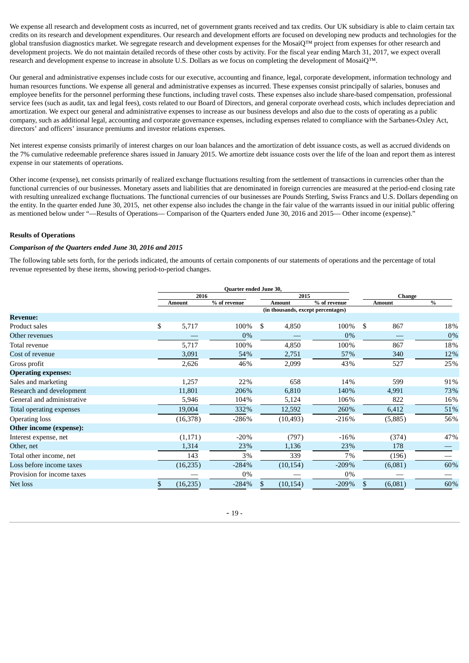We expense all research and development costs as incurred, net of government grants received and tax credits. Our UK subsidiary is able to claim certain tax credits on its research and development expenditures. Our research and development efforts are focused on developing new products and technologies for the global transfusion diagnostics market. We segregate research and development expenses for the MosaiQ™ project from expenses for other research and development projects. We do not maintain detailed records of these other costs by activity. For the fiscal year ending March 31, 2017, we expect overall research and development expense to increase in absolute U.S. Dollars as we focus on completing the development of MosaiQ™.

Our general and administrative expenses include costs for our executive, accounting and finance, legal, corporate development, information technology and human resources functions. We expense all general and administrative expenses as incurred. These expenses consist principally of salaries, bonuses and employee benefits for the personnel performing these functions, including travel costs. These expenses also include share-based compensation, professional service fees (such as audit, tax and legal fees), costs related to our Board of Directors, and general corporate overhead costs, which includes depreciation and amortization. We expect our general and administrative expenses to increase as our business develops and also due to the costs of operating as a public company, such as additional legal, accounting and corporate governance expenses, including expenses related to compliance with the Sarbanes-Oxley Act, directors' and officers' insurance premiums and investor relations expenses.

Net interest expense consists primarily of interest charges on our loan balances and the amortization of debt issuance costs, as well as accrued dividends on the 7% cumulative redeemable preference shares issued in January 2015. We amortize debt issuance costs over the life of the loan and report them as interest expense in our statements of operations.

Other income (expense), net consists primarily of realized exchange fluctuations resulting from the settlement of transactions in currencies other than the functional currencies of our businesses. Monetary assets and liabilities that are denominated in foreign currencies are measured at the period-end closing rate with resulting unrealized exchange fluctuations. The functional currencies of our businesses are Pounds Sterling, Swiss Francs and U.S. Dollars depending on the entity. In the quarter ended June 30, 2015, net other expense also includes the change in the fair value of the warrants issued in our initial public offering as mentioned below under "—Results of Operations— Comparison of the Quarters ended June 30, 2016 and 2015— Other income (expense)."

## **Results of Operations**

## *Comparison of the Quarters ended June 30, 2016 and 2015*

The following table sets forth, for the periods indicated, the amounts of certain components of our statements of operations and the percentage of total revenue represented by these items, showing period-to-period changes.

|                            | Quarter ended June 30, |              |    |                                    |              |    |               |      |  |
|----------------------------|------------------------|--------------|----|------------------------------------|--------------|----|---------------|------|--|
|                            | 2016                   |              |    | 2015                               |              |    | <b>Change</b> |      |  |
|                            | Amount                 | % of revenue |    | <b>Amount</b>                      | % of revenue |    | <b>Amount</b> | $\%$ |  |
| <b>Revenue:</b>            |                        |              |    | (in thousands, except percentages) |              |    |               |      |  |
| Product sales              | \$<br>5,717            | 100%         | \$ | 4,850                              | 100%         | \$ | 867           | 18%  |  |
| Other revenues             |                        | 0%           |    |                                    | 0%           |    |               | 0%   |  |
| Total revenue              | 5,717                  | 100%         |    | 4,850                              | 100%         |    | 867           | 18%  |  |
| Cost of revenue            | 3,091                  | 54%          |    | 2,751                              | 57%          |    | 340           | 12%  |  |
| Gross profit               | 2,626                  | 46%          |    | 2,099                              | 43%          |    | 527           | 25%  |  |
| <b>Operating expenses:</b> |                        |              |    |                                    |              |    |               |      |  |
| Sales and marketing        | 1,257                  | 22%          |    | 658                                | 14%          |    | 599           | 91%  |  |
| Research and development   | 11,801                 | 206%         |    | 6,810                              | 140%         |    | 4,991         | 73%  |  |
| General and administrative | 5,946                  | 104%         |    | 5,124                              | 106%         |    | 822           | 16%  |  |
| Total operating expenses   | 19,004                 | 332%         |    | 12,592                             | 260%         |    | 6,412         | 51%  |  |
| <b>Operating loss</b>      | (16, 378)              | $-286%$      |    | (10, 493)                          | $-216%$      |    | (5,885)       | 56%  |  |
| Other income (expense):    |                        |              |    |                                    |              |    |               |      |  |
| Interest expense, net      | (1,171)                | $-20%$       |    | (797)                              | $-16%$       |    | (374)         | 47%  |  |
| Other, net                 | 1,314                  | 23%          |    | 1,136                              | 23%          |    | 178           |      |  |
| Total other income, net    | 143                    | 3%           |    | 339                                | 7%           |    | (196)         |      |  |
| Loss before income taxes   | (16, 235)              | $-284%$      |    | (10, 154)                          | $-209%$      |    | (6,081)       | 60%  |  |
| Provision for income taxes |                        | $0\%$        |    |                                    | 0%           |    |               |      |  |
| Net loss                   | (16, 235)              | $-284%$      | \$ | (10, 154)                          | $-209%$      |    | (6,081)       | 60%  |  |

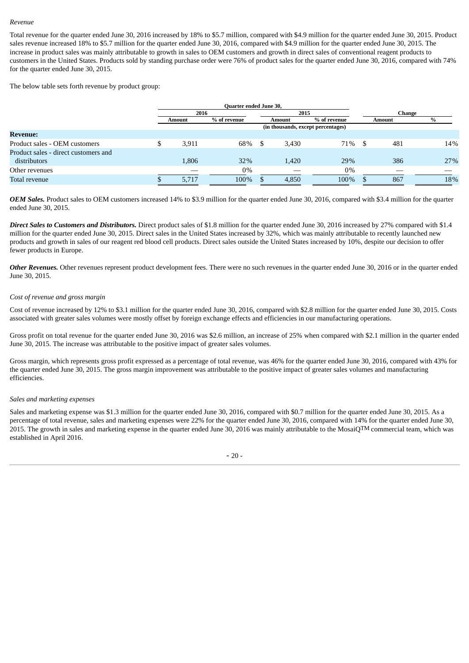#### *Revenue*

Total revenue for the quarter ended June 30, 2016 increased by 18% to \$5.7 million, compared with \$4.9 million for the quarter ended June 30, 2015. Product sales revenue increased 18% to \$5.7 million for the quarter ended June 30, 2016, compared with \$4.9 million for the quarter ended June 30, 2015. The increase in product sales was mainly attributable to growth in sales to OEM customers and growth in direct sales of conventional reagent products to customers in the United States. Products sold by standing purchase order were 76% of product sales for the quarter ended June 30, 2016, compared with 74% for the quarter ended June 30, 2015.

The below table sets forth revenue by product group:

|                                      |        | Quarter ended June 30,             |              |        |       |              |  |        |      |  |
|--------------------------------------|--------|------------------------------------|--------------|--------|-------|--------------|--|--------|------|--|
|                                      |        | 2016                               |              |        | 2015  |              |  | Change |      |  |
|                                      | Amount |                                    | % of revenue | Amount |       | % of revenue |  | Amount | $\%$ |  |
|                                      |        | (in thousands, except percentages) |              |        |       |              |  |        |      |  |
| <b>Revenue:</b>                      |        |                                    |              |        |       |              |  |        |      |  |
| Product sales - OEM customers        |        | 3,911                              | 68%          |        | 3.430 | 71%          |  | 481    | 14%  |  |
| Product sales - direct customers and |        |                                    |              |        |       |              |  |        |      |  |
| distributors                         |        | 1,806                              | 32%          |        | 1,420 | 29%          |  | 386    | 27%  |  |
| Other revenues                       |        |                                    | 0%           |        |       | 0%           |  |        |      |  |
| Total revenue                        |        | 5,717                              | 100%         |        | 4,850 | 100%         |  | 867    | 18%  |  |

*OEM Sales.* Product sales to OEM customers increased 14% to \$3.9 million for the quarter ended June 30, 2016, compared with \$3.4 million for the quarter ended June 30, 2015.

*Direct Sales to Customers and Distributors.* Direct product sales of \$1.8 million for the quarter ended June 30, 2016 increased by 27% compared with \$1.4 million for the quarter ended June 30, 2015. Direct sales in the United States increased by 32%, which was mainly attributable to recently launched new products and growth in sales of our reagent red blood cell products. Direct sales outside the United States increased by 10%, despite our decision to offer fewer products in Europe.

*Other Revenues.* Other revenues represent product development fees. There were no such revenues in the quarter ended June 30, 2016 or in the quarter ended June 30, 2015.

## *Cost of revenue and gross margin*

Cost of revenue increased by 12% to \$3.1 million for the quarter ended June 30, 2016, compared with \$2.8 million for the quarter ended June 30, 2015. Costs associated with greater sales volumes were mostly offset by foreign exchange effects and efficiencies in our manufacturing operations.

Gross profit on total revenue for the quarter ended June 30, 2016 was \$2.6 million, an increase of 25% when compared with \$2.1 million in the quarter ended June 30, 2015. The increase was attributable to the positive impact of greater sales volumes.

Gross margin, which represents gross profit expressed as a percentage of total revenue, was 46% for the quarter ended June 30, 2016, compared with 43% for the quarter ended June 30, 2015. The gross margin improvement was attributable to the positive impact of greater sales volumes and manufacturing efficiencies.

#### *Sales and marketing expenses*

Sales and marketing expense was \$1.3 million for the quarter ended June 30, 2016, compared with \$0.7 million for the quarter ended June 30, 2015. As a percentage of total revenue, sales and marketing expenses were 22% for the quarter ended June 30, 2016, compared with 14% for the quarter ended June 30, 2015. The growth in sales and marketing expense in the quarter ended June 30, 2016 was mainly attributable to the MosaiQTM commercial team, which was established in April 2016.

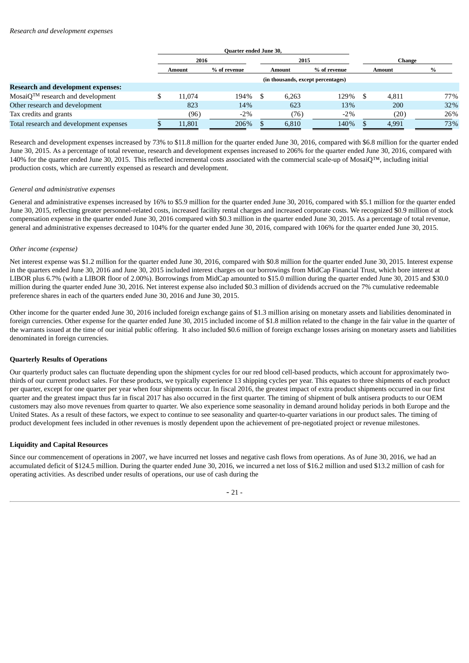|                                           | Quarter ended June 30,             |              |  |        |              |        |       |     |
|-------------------------------------------|------------------------------------|--------------|--|--------|--------------|--------|-------|-----|
|                                           | 2016                               |              |  | 2015   |              | Change |       |     |
|                                           | Amount                             | % of revenue |  | Amount | % of revenue | Amount |       | %   |
|                                           | (in thousands, except percentages) |              |  |        |              |        |       |     |
| <b>Research and development expenses:</b> |                                    |              |  |        |              |        |       |     |
| $MosaiQ^{TM}$ research and development    | 11.074                             | 194% \$      |  | 6,263  | 129%         |        | 4.811 | 77% |
| Other research and development            | 823                                | 14%          |  | 623    | 13%          |        | 200   | 32% |
| Tax credits and grants                    | (96)                               | $-2\%$       |  | (76)   | $-2\%$       |        | (20)  | 26% |
| Total research and development expenses   | 11,801                             | 206%         |  | 6,810  | 140%         |        | 4.991 | 73% |

Research and development expenses increased by 73% to \$11.8 million for the quarter ended June 30, 2016, compared with \$6.8 million for the quarter ended June 30, 2015. As a percentage of total revenue, research and development expenses increased to 206% for the quarter ended June 30, 2016, compared with 140% for the quarter ended June 30, 2015. This reflected incremental costs associated with the commercial scale-up of MosaiQ™, including initial production costs, which are currently expensed as research and development.

## *General and administrative expenses*

General and administrative expenses increased by 16% to \$5.9 million for the quarter ended June 30, 2016, compared with \$5.1 million for the quarter ended June 30, 2015, reflecting greater personnel-related costs, increased facility rental charges and increased corporate costs. We recognized \$0.9 million of stock compensation expense in the quarter ended June 30, 2016 compared with \$0.3 million in the quarter ended June 30, 2015. As a percentage of total revenue, general and administrative expenses decreased to 104% for the quarter ended June 30, 2016, compared with 106% for the quarter ended June 30, 2015.

## *Other income (expense)*

Net interest expense was \$1.2 million for the quarter ended June 30, 2016, compared with \$0.8 million for the quarter ended June 30, 2015. Interest expense in the quarters ended June 30, 2016 and June 30, 2015 included interest charges on our borrowings from MidCap Financial Trust, which bore interest at LIBOR plus 6.7% (with a LIBOR floor of 2.00%). Borrowings from MidCap amounted to \$15.0 million during the quarter ended June 30, 2015 and \$30.0 million during the quarter ended June 30, 2016. Net interest expense also included \$0.3 million of dividends accrued on the 7% cumulative redeemable preference shares in each of the quarters ended June 30, 2016 and June 30, 2015.

Other income for the quarter ended June 30, 2016 included foreign exchange gains of \$1.3 million arising on monetary assets and liabilities denominated in foreign currencies. Other expense for the quarter ended June 30, 2015 included income of \$1.8 million related to the change in the fair value in the quarter of the warrants issued at the time of our initial public offering. It also included \$0.6 million of foreign exchange losses arising on monetary assets and liabilities denominated in foreign currencies.

## **Quarterly Results of Operations**

Our quarterly product sales can fluctuate depending upon the shipment cycles for our red blood cell-based products, which account for approximately twothirds of our current product sales. For these products, we typically experience 13 shipping cycles per year. This equates to three shipments of each product per quarter, except for one quarter per year when four shipments occur. In fiscal 2016, the greatest impact of extra product shipments occurred in our first quarter and the greatest impact thus far in fiscal 2017 has also occurred in the first quarter. The timing of shipment of bulk antisera products to our OEM customers may also move revenues from quarter to quarter. We also experience some seasonality in demand around holiday periods in both Europe and the United States. As a result of these factors, we expect to continue to see seasonality and quarter-to-quarter variations in our product sales. The timing of product development fees included in other revenues is mostly dependent upon the achievement of pre-negotiated project or revenue milestones.

## **Liquidity and Capital Resources**

Since our commencement of operations in 2007, we have incurred net losses and negative cash flows from operations. As of June 30, 2016, we had an accumulated deficit of \$124.5 million. During the quarter ended June 30, 2016, we incurred a net loss of \$16.2 million and used \$13.2 million of cash for operating activities. As described under results of operations, our use of cash during the

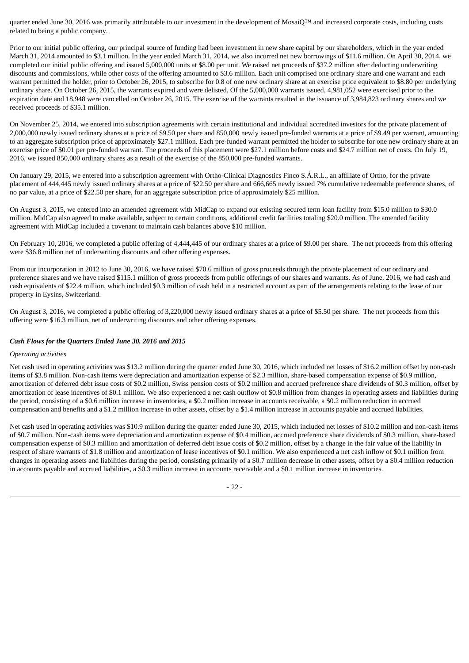quarter ended June 30, 2016 was primarily attributable to our investment in the development of MosaiQ™ and increased corporate costs, including costs related to being a public company.

Prior to our initial public offering, our principal source of funding had been investment in new share capital by our shareholders, which in the year ended March 31, 2014 amounted to \$3.1 million. In the year ended March 31, 2014, we also incurred net new borrowings of \$11.6 million. On April 30, 2014, we completed our initial public offering and issued 5,000,000 units at \$8.00 per unit. We raised net proceeds of \$37.2 million after deducting underwriting discounts and commissions, while other costs of the offering amounted to \$3.6 million. Each unit comprised one ordinary share and one warrant and each warrant permitted the holder, prior to October 26, 2015, to subscribe for 0.8 of one new ordinary share at an exercise price equivalent to \$8.80 per underlying ordinary share. On October 26, 2015, the warrants expired and were delisted. Of the 5,000,000 warrants issued, 4,981,052 were exercised prior to the expiration date and 18,948 were cancelled on October 26, 2015. The exercise of the warrants resulted in the issuance of 3,984,823 ordinary shares and we received proceeds of \$35.1 million.

On November 25, 2014, we entered into subscription agreements with certain institutional and individual accredited investors for the private placement of 2,000,000 newly issued ordinary shares at a price of \$9.50 per share and 850,000 newly issued pre-funded warrants at a price of \$9.49 per warrant, amounting to an aggregate subscription price of approximately \$27.1 million. Each pre-funded warrant permitted the holder to subscribe for one new ordinary share at an exercise price of \$0.01 per pre-funded warrant. The proceeds of this placement were \$27.1 million before costs and \$24.7 million net of costs. On July 19, 2016, we issued 850,000 ordinary shares as a result of the exercise of the 850,000 pre-funded warrants.

On January 29, 2015, we entered into a subscription agreement with Ortho-Clinical Diagnostics Finco S.Á.R.L., an affiliate of Ortho, for the private placement of 444,445 newly issued ordinary shares at a price of \$22.50 per share and 666,665 newly issued 7% cumulative redeemable preference shares, of no par value, at a price of \$22.50 per share, for an aggregate subscription price of approximately \$25 million.

On August 3, 2015, we entered into an amended agreement with MidCap to expand our existing secured term loan facility from \$15.0 million to \$30.0 million. MidCap also agreed to make available, subject to certain conditions, additional credit facilities totaling \$20.0 million. The amended facility agreement with MidCap included a covenant to maintain cash balances above \$10 million.

On February 10, 2016, we completed a public offering of 4,444,445 of our ordinary shares at a price of \$9.00 per share. The net proceeds from this offering were \$36.8 million net of underwriting discounts and other offering expenses.

From our incorporation in 2012 to June 30, 2016, we have raised \$70.6 million of gross proceeds through the private placement of our ordinary and preference shares and we have raised \$115.1 million of gross proceeds from public offerings of our shares and warrants. As of June, 2016, we had cash and cash equivalents of \$22.4 million, which included \$0.3 million of cash held in a restricted account as part of the arrangements relating to the lease of our property in Eysins, Switzerland.

On August 3, 2016, we completed a public offering of 3,220,000 newly issued ordinary shares at a price of \$5.50 per share. The net proceeds from this offering were \$16.3 million, net of underwriting discounts and other offering expenses.

## *Cash Flows for the Quarters Ended June 30, 2016 and 2015*

## *Operating activities*

Net cash used in operating activities was \$13.2 million during the quarter ended June 30, 2016, which included net losses of \$16.2 million offset by non-cash items of \$3.8 million. Non-cash items were depreciation and amortization expense of \$2.3 million, share-based compensation expense of \$0.9 million, amortization of deferred debt issue costs of \$0.2 million, Swiss pension costs of \$0.2 million and accrued preference share dividends of \$0.3 million, offset by amortization of lease incentives of \$0.1 million. We also experienced a net cash outflow of \$0.8 million from changes in operating assets and liabilities during the period, consisting of a \$0.6 million increase in inventories, a \$0.2 million increase in accounts receivable, a \$0.2 million reduction in accrued compensation and benefits and a \$1.2 million increase in other assets, offset by a \$1.4 million increase in accounts payable and accrued liabilities.

Net cash used in operating activities was \$10.9 million during the quarter ended June 30, 2015, which included net losses of \$10.2 million and non-cash items of \$0.7 million. Non-cash items were depreciation and amortization expense of \$0.4 million, accrued preference share dividends of \$0.3 million, share-based compensation expense of \$0.3 million and amortization of deferred debt issue costs of \$0.2 million, offset by a change in the fair value of the liability in respect of share warrants of \$1.8 million and amortization of lease incentives of \$0.1 million. We also experienced a net cash inflow of \$0.1 million from changes in operating assets and liabilities during the period, consisting primarily of a \$0.7 million decrease in other assets, offset by a \$0.4 million reduction in accounts payable and accrued liabilities, a \$0.3 million increase in accounts receivable and a \$0.1 million increase in inventories.

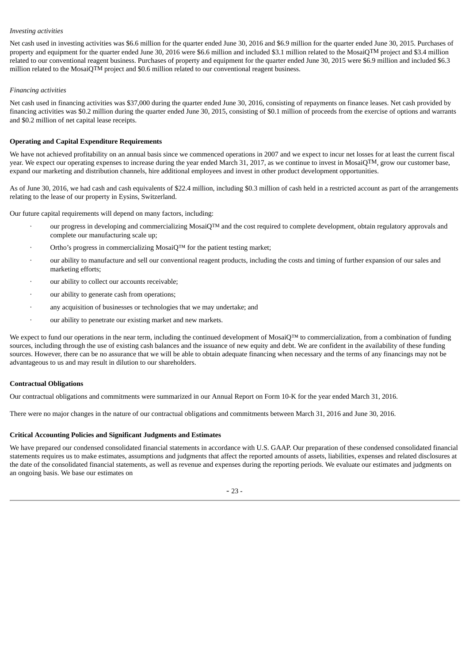## *Investing activities*

Net cash used in investing activities was \$6.6 million for the quarter ended June 30, 2016 and \$6.9 million for the quarter ended June 30, 2015. Purchases of property and equipment for the quarter ended June 30, 2016 were \$6.6 million and included \$3.1 million related to the MosaiQTM project and \$3.4 million related to our conventional reagent business. Purchases of property and equipment for the quarter ended June 30, 2015 were \$6.9 million and included \$6.3 million related to the MosaiQTM project and \$0.6 million related to our conventional reagent business.

## *Financing activities*

Net cash used in financing activities was \$37,000 during the quarter ended June 30, 2016, consisting of repayments on finance leases. Net cash provided by financing activities was \$0.2 million during the quarter ended June 30, 2015, consisting of \$0.1 million of proceeds from the exercise of options and warrants and \$0.2 million of net capital lease receipts.

## **Operating and Capital Expenditure Requirements**

We have not achieved profitability on an annual basis since we commenced operations in 2007 and we expect to incur net losses for at least the current fiscal year. We expect our operating expenses to increase during the year ended March 31, 2017, as we continue to invest in MosaiQTM, grow our customer base, expand our marketing and distribution channels, hire additional employees and invest in other product development opportunities.

As of June 30, 2016, we had cash and cash equivalents of \$22.4 million, including \$0.3 million of cash held in a restricted account as part of the arrangements relating to the lease of our property in Eysins, Switzerland.

Our future capital requirements will depend on many factors, including:

- our progress in developing and commercializing MosaiQ<sup>TM</sup> and the cost required to complete development, obtain regulatory approvals and complete our manufacturing scale up;
- Ortho's progress in commercializing MosaiQ™ for the patient testing market;
- · our ability to manufacture and sell our conventional reagent products, including the costs and timing of further expansion of our sales and marketing efforts;
- our ability to collect our accounts receivable:
- our ability to generate cash from operations;
- any acquisition of businesses or technologies that we may undertake; and
- · our ability to penetrate our existing market and new markets.

We expect to fund our operations in the near term, including the continued development of MosaiQ™ to commercialization, from a combination of funding sources, including through the use of existing cash balances and the issuance of new equity and debt. We are confident in the availability of these funding sources. However, there can be no assurance that we will be able to obtain adequate financing when necessary and the terms of any financings may not be advantageous to us and may result in dilution to our shareholders.

#### **Contractual Obligations**

Our contractual obligations and commitments were summarized in our Annual Report on Form 10-K for the year ended March 31, 2016.

There were no major changes in the nature of our contractual obligations and commitments between March 31, 2016 and June 30, 2016.

#### **Critical Accounting Policies and Significant Judgments and Estimates**

We have prepared our condensed consolidated financial statements in accordance with U.S. GAAP. Our preparation of these condensed consolidated financial statements requires us to make estimates, assumptions and judgments that affect the reported amounts of assets, liabilities, expenses and related disclosures at the date of the consolidated financial statements, as well as revenue and expenses during the reporting periods. We evaluate our estimates and judgments on an ongoing basis. We base our estimates on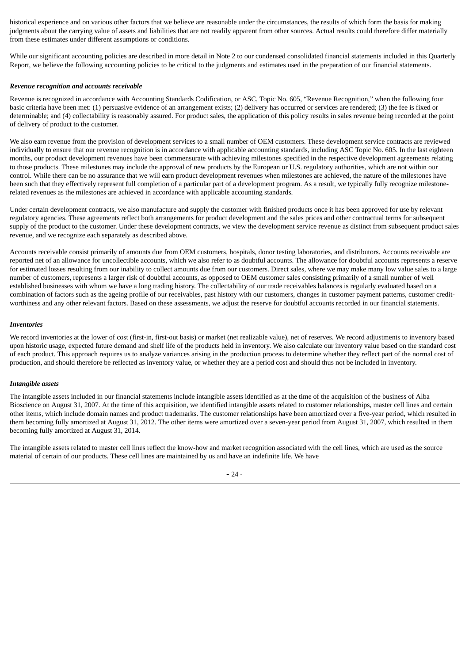historical experience and on various other factors that we believe are reasonable under the circumstances, the results of which form the basis for making judgments about the carrying value of assets and liabilities that are not readily apparent from other sources. Actual results could therefore differ materially from these estimates under different assumptions or conditions.

While our significant accounting policies are described in more detail in Note 2 to our condensed consolidated financial statements included in this Quarterly Report, we believe the following accounting policies to be critical to the judgments and estimates used in the preparation of our financial statements.

## *Revenue recognition and accounts receivable*

Revenue is recognized in accordance with Accounting Standards Codification, or ASC, Topic No. 605, "Revenue Recognition," when the following four basic criteria have been met: (1) persuasive evidence of an arrangement exists; (2) delivery has occurred or services are rendered; (3) the fee is fixed or determinable; and (4) collectability is reasonably assured. For product sales, the application of this policy results in sales revenue being recorded at the point of delivery of product to the customer.

We also earn revenue from the provision of development services to a small number of OEM customers. These development service contracts are reviewed individually to ensure that our revenue recognition is in accordance with applicable accounting standards, including ASC Topic No. 605. In the last eighteen months, our product development revenues have been commensurate with achieving milestones specified in the respective development agreements relating to those products. These milestones may include the approval of new products by the European or U.S. regulatory authorities, which are not within our control. While there can be no assurance that we will earn product development revenues when milestones are achieved, the nature of the milestones have been such that they effectively represent full completion of a particular part of a development program. As a result, we typically fully recognize milestonerelated revenues as the milestones are achieved in accordance with applicable accounting standards.

Under certain development contracts, we also manufacture and supply the customer with finished products once it has been approved for use by relevant regulatory agencies. These agreements reflect both arrangements for product development and the sales prices and other contractual terms for subsequent supply of the product to the customer. Under these development contracts, we view the development service revenue as distinct from subsequent product sales revenue, and we recognize each separately as described above.

Accounts receivable consist primarily of amounts due from OEM customers, hospitals, donor testing laboratories, and distributors. Accounts receivable are reported net of an allowance for uncollectible accounts, which we also refer to as doubtful accounts. The allowance for doubtful accounts represents a reserve for estimated losses resulting from our inability to collect amounts due from our customers. Direct sales, where we may make many low value sales to a large number of customers, represents a larger risk of doubtful accounts, as opposed to OEM customer sales consisting primarily of a small number of well established businesses with whom we have a long trading history. The collectability of our trade receivables balances is regularly evaluated based on a combination of factors such as the ageing profile of our receivables, past history with our customers, changes in customer payment patterns, customer creditworthiness and any other relevant factors. Based on these assessments, we adjust the reserve for doubtful accounts recorded in our financial statements.

## *Inventories*

We record inventories at the lower of cost (first-in, first-out basis) or market (net realizable value), net of reserves. We record adjustments to inventory based upon historic usage, expected future demand and shelf life of the products held in inventory. We also calculate our inventory value based on the standard cost of each product. This approach requires us to analyze variances arising in the production process to determine whether they reflect part of the normal cost of production, and should therefore be reflected as inventory value, or whether they are a period cost and should thus not be included in inventory.

## *Intangible assets*

The intangible assets included in our financial statements include intangible assets identified as at the time of the acquisition of the business of Alba Bioscience on August 31, 2007. At the time of this acquisition, we identified intangible assets related to customer relationships, master cell lines and certain other items, which include domain names and product trademarks. The customer relationships have been amortized over a five-year period, which resulted in them becoming fully amortized at August 31, 2012. The other items were amortized over a seven-year period from August 31, 2007, which resulted in them becoming fully amortized at August 31, 2014.

The intangible assets related to master cell lines reflect the know-how and market recognition associated with the cell lines, which are used as the source material of certain of our products. These cell lines are maintained by us and have an indefinite life. We have

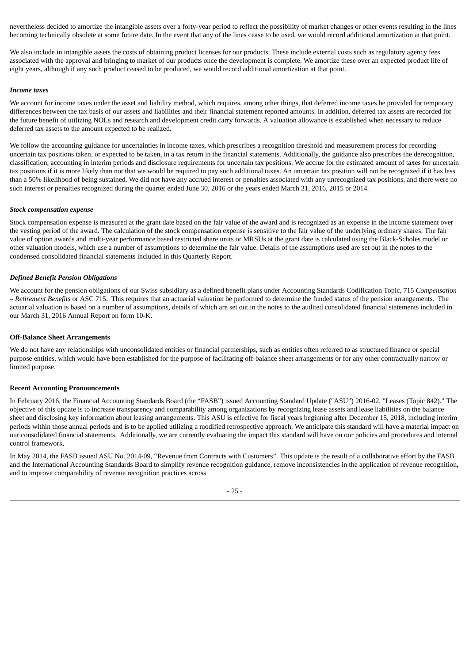nevertheless decided to amortize the intangible assets over a forty-year period to reflect the possibility of market changes or other events resulting in the lines becoming technically obsolete at some future date. In the event that any of the lines cease to be used, we would record additional amortization at that point.

We also include in intangible assets the costs of obtaining product licenses for our products. These include external costs such as regulatory agency fees associated with the approval and bringing to market of our products once the development is complete. We amortize these over an expected product life of eight years, although if any such product ceased to be produced, we would record additional amortization at that point.

#### *Income taxes*

We account for income taxes under the asset and liability method, which requires, among other things, that deferred income taxes be provided for temporary differences between the tax basis of our assets and liabilities and their financial statement reported amounts. In addition, deferred tax assets are recorded for the future benefit of utilizing NOLs and research and development credit carry forwards. A valuation allowance is established when necessary to reduce deferred tax assets to the amount expected to be realized.

We follow the accounting guidance for uncertainties in income taxes, which prescribes a recognition threshold and measurement process for recording uncertain tax positions taken, or expected to be taken, in a tax return in the financial statements. Additionally, the guidance also prescribes the derecognition, classification, accounting in interim periods and disclosure requirements for uncertain tax positions. We accrue for the estimated amount of taxes for uncertain tax positions if it is more likely than not that we would be required to pay such additional taxes. An uncertain tax position will not be recognized if it has less than a 50% likelihood of being sustained. We did not have any accrued interest or penalties associated with any unrecognized tax positions, and there were no such interest or penalties recognized during the quarter ended June 30, 2016 or the years ended March 31, 2016, 2015 or 2014.

#### *Stock compensation expense*

Stock compensation expense is measured at the grant date based on the fair value of the award and is recognized as an expense in the income statement over the vesting period of the award. The calculation of the stock compensation expense is sensitive to the fair value of the underlying ordinary shares. The fair value of option awards and multi-year performance based restricted share units or MRSUs at the grant date is calculated using the Black-Scholes model or other valuation models, which use a number of assumptions to determine the fair value. Details of the assumptions used are set out in the notes to the condensed consolidated financial statements included in this Quarterly Report.

#### *Defined Benefit Pension Obligations*

We account for the pension obligations of our Swiss subsidiary as a defined benefit plans under Accounting Standards Codification Topic, 715 *Compensation – Retirement Benefits* or ASC 715. This requires that an actuarial valuation be performed to determine the funded status of the pension arrangements. The actuarial valuation is based on a number of assumptions, details of which are set out in the notes to the audited consolidated financial statements included in our March 31, 2016 Annual Report on form 10-K.

#### **Off-Balance Sheet Arrangements**

We do not have any relationships with unconsolidated entities or financial partnerships, such as entities often referred to as structured finance or special purpose entities, which would have been established for the purpose of facilitating off-balance sheet arrangements or for any other contractually narrow or limited purpose.

#### **Recent Accounting Pronouncements**

In February 2016, the Financial Accounting Standards Board (the "FASB") issued Accounting Standard Update ("ASU") 2016-02, "Leases (Topic 842)." The objective of this update is to increase transparency and comparability among organizations by recognizing lease assets and lease liabilities on the balance sheet and disclosing key information about leasing arrangements. This ASU is effective for fiscal years beginning after December 15, 2018, including interim periods within those annual periods and is to be applied utilizing a modified retrospective approach. We anticipate this standard will have a material impact on our consolidated financial statements. Additionally, we are currently evaluating the impact this standard will have on our policies and procedures and internal control framework.

In May 2014, the FASB issued ASU No. 2014-09, "Revenue from Contracts with Customers". This update is the result of a collaborative effort by the FASB and the International Accounting Standards Board to simplify revenue recognition guidance, remove inconsistencies in the application of revenue recognition, and to improve comparability of revenue recognition practices across

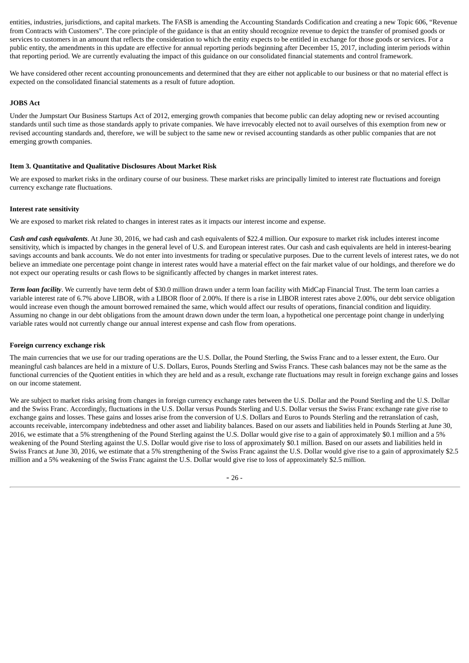entities, industries, jurisdictions, and capital markets. The FASB is amending the Accounting Standards Codification and creating a new Topic 606, "Revenue from Contracts with Customers". The core principle of the guidance is that an entity should recognize revenue to depict the transfer of promised goods or services to customers in an amount that reflects the consideration to which the entity expects to be entitled in exchange for those goods or services. For a public entity, the amendments in this update are effective for annual reporting periods beginning after December 15, 2017, including interim periods within that reporting period. We are currently evaluating the impact of this guidance on our consolidated financial statements and control framework.

We have considered other recent accounting pronouncements and determined that they are either not applicable to our business or that no material effect is expected on the consolidated financial statements as a result of future adoption.

## **JOBS Act**

Under the Jumpstart Our Business Startups Act of 2012, emerging growth companies that become public can delay adopting new or revised accounting standards until such time as those standards apply to private companies. We have irrevocably elected not to avail ourselves of this exemption from new or revised accounting standards and, therefore, we will be subject to the same new or revised accounting standards as other public companies that are not emerging growth companies.

## <span id="page-27-0"></span>**Item 3. Quantitative and Qualitative Disclosures About Market Risk**

We are exposed to market risks in the ordinary course of our business. These market risks are principally limited to interest rate fluctuations and foreign currency exchange rate fluctuations.

## **Interest rate sensitivity**

We are exposed to market risk related to changes in interest rates as it impacts our interest income and expense.

*Cash and cash equivalents*. At June 30, 2016, we had cash and cash equivalents of \$22.4 million. Our exposure to market risk includes interest income sensitivity, which is impacted by changes in the general level of U.S. and European interest rates. Our cash and cash equivalents are held in interest-bearing savings accounts and bank accounts. We do not enter into investments for trading or speculative purposes. Due to the current levels of interest rates, we do not believe an immediate one percentage point change in interest rates would have a material effect on the fair market value of our holdings, and therefore we do not expect our operating results or cash flows to be significantly affected by changes in market interest rates.

*Term loan facility*. We currently have term debt of \$30.0 million drawn under a term loan facility with MidCap Financial Trust. The term loan carries a variable interest rate of 6.7% above LIBOR, with a LIBOR floor of 2.00%. If there is a rise in LIBOR interest rates above 2.00%, our debt service obligation would increase even though the amount borrowed remained the same, which would affect our results of operations, financial condition and liquidity. Assuming no change in our debt obligations from the amount drawn down under the term loan, a hypothetical one percentage point change in underlying variable rates would not currently change our annual interest expense and cash flow from operations.

#### **Foreign currency exchange risk**

The main currencies that we use for our trading operations are the U.S. Dollar, the Pound Sterling, the Swiss Franc and to a lesser extent, the Euro. Our meaningful cash balances are held in a mixture of U.S. Dollars, Euros, Pounds Sterling and Swiss Francs. These cash balances may not be the same as the functional currencies of the Quotient entities in which they are held and as a result, exchange rate fluctuations may result in foreign exchange gains and losses on our income statement.

We are subject to market risks arising from changes in foreign currency exchange rates between the U.S. Dollar and the Pound Sterling and the U.S. Dollar and the Swiss Franc. Accordingly, fluctuations in the U.S. Dollar versus Pounds Sterling and U.S. Dollar versus the Swiss Franc exchange rate give rise to exchange gains and losses. These gains and losses arise from the conversion of U.S. Dollars and Euros to Pounds Sterling and the retranslation of cash, accounts receivable, intercompany indebtedness and other asset and liability balances. Based on our assets and liabilities held in Pounds Sterling at June 30, 2016, we estimate that a 5% strengthening of the Pound Sterling against the U.S. Dollar would give rise to a gain of approximately \$0.1 million and a 5% weakening of the Pound Sterling against the U.S. Dollar would give rise to loss of approximately \$0.1 million. Based on our assets and liabilities held in Swiss Francs at June 30, 2016, we estimate that a 5% strengthening of the Swiss Franc against the U.S. Dollar would give rise to a gain of approximately \$2.5 million and a 5% weakening of the Swiss Franc against the U.S. Dollar would give rise to loss of approximately \$2.5 million.

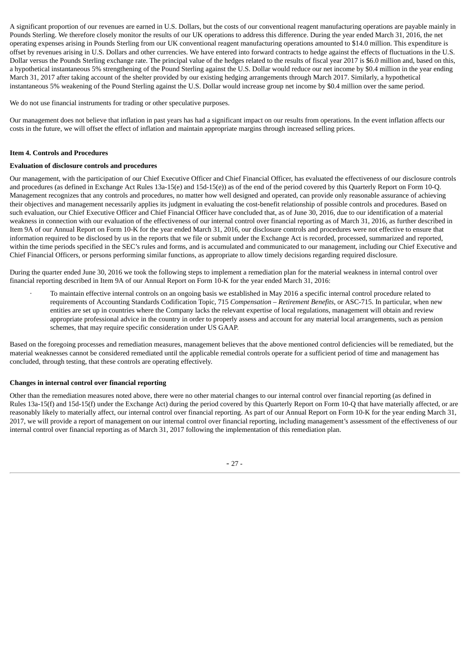A significant proportion of our revenues are earned in U.S. Dollars, but the costs of our conventional reagent manufacturing operations are payable mainly in Pounds Sterling. We therefore closely monitor the results of our UK operations to address this difference. During the year ended March 31, 2016, the net operating expenses arising in Pounds Sterling from our UK conventional reagent manufacturing operations amounted to \$14.0 million. This expenditure is offset by revenues arising in U.S. Dollars and other currencies. We have entered into forward contracts to hedge against the effects of fluctuations in the U.S. Dollar versus the Pounds Sterling exchange rate. The principal value of the hedges related to the results of fiscal year 2017 is \$6.0 million and, based on this, a hypothetical instantaneous 5% strengthening of the Pound Sterling against the U.S. Dollar would reduce our net income by \$0.4 million in the year ending March 31, 2017 after taking account of the shelter provided by our existing hedging arrangements through March 2017. Similarly, a hypothetical instantaneous 5% weakening of the Pound Sterling against the U.S. Dollar would increase group net income by \$0.4 million over the same period.

We do not use financial instruments for trading or other speculative purposes.

Our management does not believe that inflation in past years has had a significant impact on our results from operations. In the event inflation affects our costs in the future, we will offset the effect of inflation and maintain appropriate margins through increased selling prices.

## <span id="page-28-0"></span>**Item 4. Controls and Procedures**

#### **Evaluation of disclosure controls and procedures**

Our management, with the participation of our Chief Executive Officer and Chief Financial Officer, has evaluated the effectiveness of our disclosure controls and procedures (as defined in Exchange Act Rules 13a-15(e) and 15d-15(e)) as of the end of the period covered by this Quarterly Report on Form 10-Q. Management recognizes that any controls and procedures, no matter how well designed and operated, can provide only reasonable assurance of achieving their objectives and management necessarily applies its judgment in evaluating the cost-benefit relationship of possible controls and procedures. Based on such evaluation, our Chief Executive Officer and Chief Financial Officer have concluded that, as of June 30, 2016, due to our identification of a material weakness in connection with our evaluation of the effectiveness of our internal control over financial reporting as of March 31, 2016, as further described in Item 9A of our Annual Report on Form 10-K for the year ended March 31, 2016, our disclosure controls and procedures were not effective to ensure that information required to be disclosed by us in the reports that we file or submit under the Exchange Act is recorded, processed, summarized and reported, within the time periods specified in the SEC's rules and forms, and is accumulated and communicated to our management, including our Chief Executive and Chief Financial Officers, or persons performing similar functions, as appropriate to allow timely decisions regarding required disclosure.

During the quarter ended June 30, 2016 we took the following steps to implement a remediation plan for the material weakness in internal control over financial reporting described in Item 9A of our Annual Report on Form 10-K for the year ended March 31, 2016:

· To maintain effective internal controls on an ongoing basis we established in May 2016 a specific internal control procedure related to requirements of Accounting Standards Codification Topic, 715 *Compensation – Retirement Benefits*, or ASC-715. In particular, when new entities are set up in countries where the Company lacks the relevant expertise of local regulations, management will obtain and review appropriate professional advice in the country in order to properly assess and account for any material local arrangements, such as pension schemes, that may require specific consideration under US GAAP.

Based on the foregoing processes and remediation measures, management believes that the above mentioned control deficiencies will be remediated, but the material weaknesses cannot be considered remediated until the applicable remedial controls operate for a sufficient period of time and management has concluded, through testing, that these controls are operating effectively.

## **Changes in internal control over financial reporting**

Other than the remediation measures noted above, there were no other material changes to our internal control over financial reporting (as defined in Rules 13a-15(f) and 15d-15(f) under the Exchange Act) during the period covered by this Quarterly Report on Form 10-Q that have materially affected, or are reasonably likely to materially affect, our internal control over financial reporting. As part of our Annual Report on Form 10-K for the year ending March 31, 2017, we will provide a report of management on our internal control over financial reporting, including management's assessment of the effectiveness of our internal control over financial reporting as of March 31, 2017 following the implementation of this remediation plan.

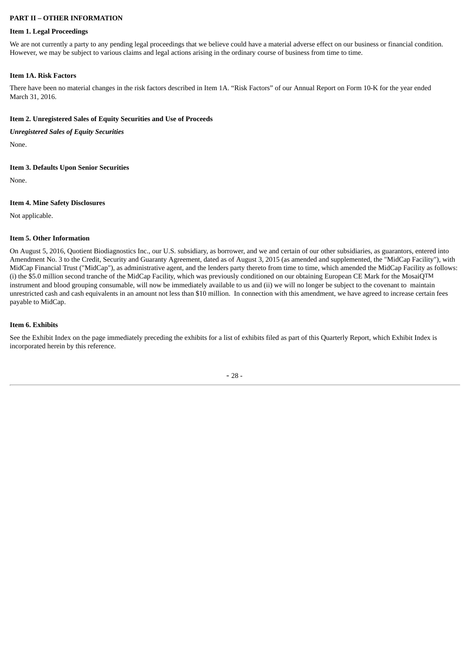## <span id="page-29-0"></span>**PART II – OTHER INFORMATION**

## <span id="page-29-1"></span>**Item 1. Legal Proceedings**

We are not currently a party to any pending legal proceedings that we believe could have a material adverse effect on our business or financial condition. However, we may be subject to various claims and legal actions arising in the ordinary course of business from time to time.

## <span id="page-29-2"></span>**Item 1A. Risk Factors**

There have been no material changes in the risk factors described in Item 1A. "Risk Factors" of our Annual Report on Form 10-K for the year ended March 31, 2016.

## <span id="page-29-3"></span>**Item 2. Unregistered Sales of Equity Securities and Use of Proceeds**

*Unregistered Sales of Equity Securities*

None.

## <span id="page-29-4"></span>**Item 3. Defaults Upon Senior Securities**

None.

## <span id="page-29-5"></span>**Item 4. Mine Safety Disclosures**

Not applicable.

## <span id="page-29-6"></span>**Item 5. Other Information**

On August 5, 2016, Quotient Biodiagnostics Inc., our U.S. subsidiary, as borrower, and we and certain of our other subsidiaries, as guarantors, entered into Amendment No. 3 to the Credit, Security and Guaranty Agreement, dated as of August 3, 2015 (as amended and supplemented, the "MidCap Facility"), with MidCap Financial Trust ("MidCap"), as administrative agent, and the lenders party thereto from time to time, which amended the MidCap Facility as follows: (i) the \$5.0 million second tranche of the MidCap Facility, which was previously conditioned on our obtaining European CE Mark for the MosaiQTM instrument and blood grouping consumable, will now be immediately available to us and (ii) we will no longer be subject to the covenant to maintain unrestricted cash and cash equivalents in an amount not less than \$10 million. In connection with this amendment, we have agreed to increase certain fees payable to MidCap.

## <span id="page-29-7"></span>**Item 6. Exhibits**

See the Exhibit Index on the page immediately preceding the exhibits for a list of exhibits filed as part of this Quarterly Report, which Exhibit Index is incorporated herein by this reference.

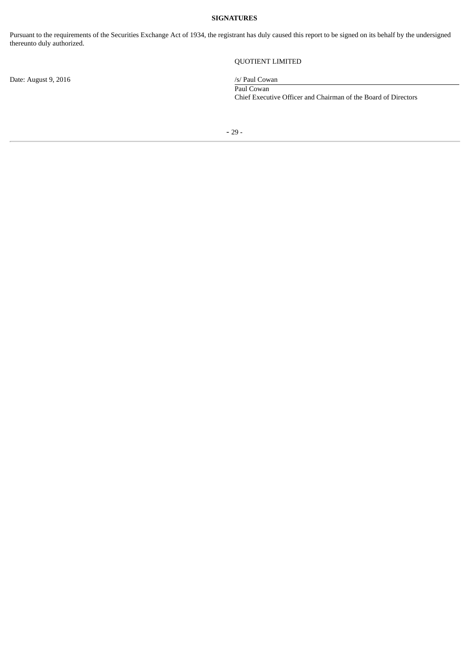## **SIGNATURES**

<span id="page-30-0"></span>Pursuant to the requirements of the Securities Exchange Act of 1934, the registrant has duly caused this report to be signed on its behalf by the undersigned thereunto duly authorized.

QUOTIENT LIMITED

Paul Cowan Chief Executive Officer and Chairman of the Board of Directors

Date: August 9, 2016 */s/ Paul Cowan*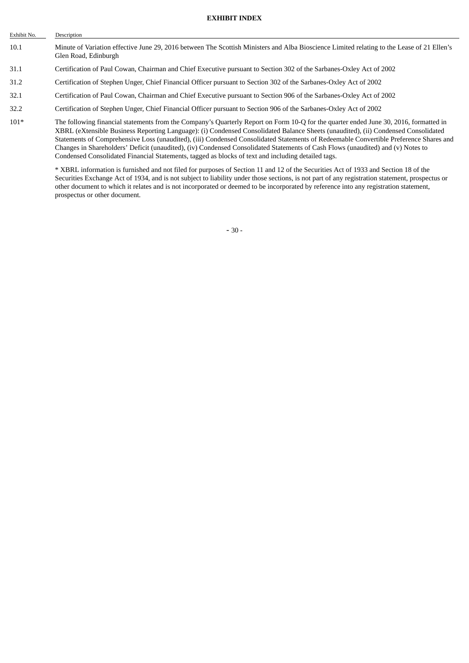## **EXHIBIT INDEX**

| Exhibit No. | Description                                                                                                                                                                                                                                                                                                                                                                                                                                                                                                                                                                                                                                                  |
|-------------|--------------------------------------------------------------------------------------------------------------------------------------------------------------------------------------------------------------------------------------------------------------------------------------------------------------------------------------------------------------------------------------------------------------------------------------------------------------------------------------------------------------------------------------------------------------------------------------------------------------------------------------------------------------|
| 10.1        | Minute of Variation effective June 29, 2016 between The Scottish Ministers and Alba Bioscience Limited relating to the Lease of 21 Ellen's<br>Glen Road, Edinburgh                                                                                                                                                                                                                                                                                                                                                                                                                                                                                           |
| 31.1        | Certification of Paul Cowan, Chairman and Chief Executive pursuant to Section 302 of the Sarbanes-Oxley Act of 2002                                                                                                                                                                                                                                                                                                                                                                                                                                                                                                                                          |
| 31.2        | Certification of Stephen Unger, Chief Financial Officer pursuant to Section 302 of the Sarbanes-Oxley Act of 2002                                                                                                                                                                                                                                                                                                                                                                                                                                                                                                                                            |
| 32.1        | Certification of Paul Cowan, Chairman and Chief Executive pursuant to Section 906 of the Sarbanes-Oxley Act of 2002                                                                                                                                                                                                                                                                                                                                                                                                                                                                                                                                          |
| 32.2        | Certification of Stephen Unger, Chief Financial Officer pursuant to Section 906 of the Sarbanes-Oxley Act of 2002                                                                                                                                                                                                                                                                                                                                                                                                                                                                                                                                            |
| $101*$      | The following financial statements from the Company's Quarterly Report on Form 10-Q for the quarter ended June 30, 2016, formatted in<br>XBRL (eXtensible Business Reporting Language): (i) Condensed Consolidated Balance Sheets (unaudited), (ii) Condensed Consolidated<br>Statements of Comprehensive Loss (unaudited), (iii) Condensed Consolidated Statements of Redeemable Convertible Preference Shares and<br>Changes in Shareholders' Deficit (unaudited), (iv) Condensed Consolidated Statements of Cash Flows (unaudited) and (v) Notes to<br>Condensed Consolidated Financial Statements, tagged as blocks of text and including detailed tags. |
|             | * XBRL information is furnished and not filed for purposes of Section 11 and 12 of the Securities Act of 1933 and Section 18 of the<br>Securities Exchange Act of 1934, and is not subject to liability under those sections, is not part of any registration statement, prospectus or                                                                                                                                                                                                                                                                                                                                                                       |

Securities Exchange Act of 1934, and is not subject to liability under those sections, is not part of any registration statement, prospectus or other document to which it relates and is not incorporated or deemed to be incorporated by reference into any registration statement, prospectus or other document.

- 30 -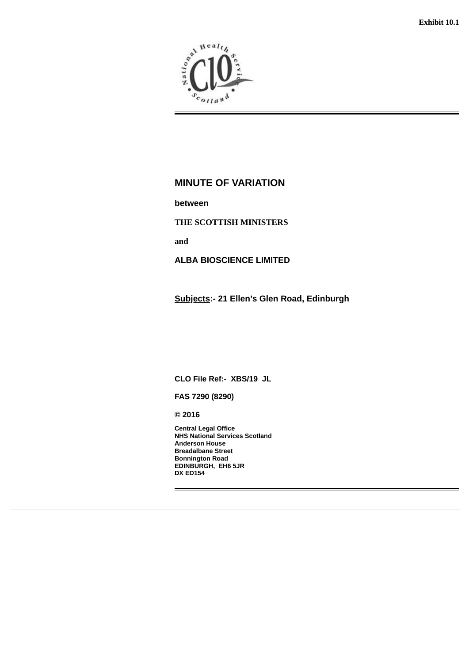

## **MINUTE OF VARIATION**

**between**

**THE SCOTTISH MINISTERS**

**and**

**ALBA BIOSCIENCE LIMITED**

**Subjects:- 21 Ellen's Glen Road, Edinburgh**

**CLO File Ref:- XBS/19 JL**

**FAS 7290 (8290)**

**© 2016**

**Central Legal Office NHS National Services Scotland Anderson House Breadalbane Street Bonnington Road EDINBURGH, EH6 5JR DX ED154**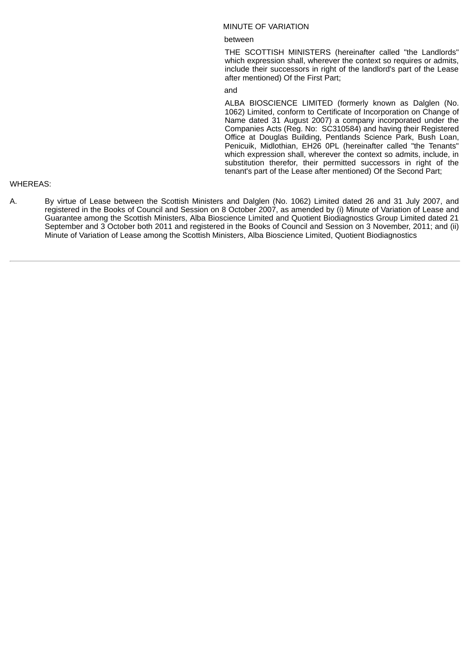## MINUTE OF VARIATION

## between

THE SCOTTISH MINISTERS (hereinafter called "the Landlords" which expression shall, wherever the context so requires or admits, include their successors in right of the landlord's part of the Lease after mentioned) Of the First Part;

and

ALBA BIOSCIENCE LIMITED (formerly known as Dalglen (No. 1062) Limited, conform to Certificate of Incorporation on Change of Name dated 31 August 2007) a company incorporated under the Companies Acts (Reg. No: SC310584) and having their Registered Office at Douglas Building, Pentlands Science Park, Bush Loan, Penicuik, Midlothian, EH26 0PL (hereinafter called "the Tenants" which expression shall, wherever the context so admits, include, in substitution therefor, their permitted successors in right of the tenant's part of the Lease after mentioned) Of the Second Part;

WHEREAS:

A. By virtue of Lease between the Scottish Ministers and Dalglen (No. 1062) Limited dated 26 and 31 July 2007, and registered in the Books of Council and Session on 8 October 2007, as amended by (i) Minute of Variation of Lease and Guarantee among the Scottish Ministers, Alba Bioscience Limited and Quotient Biodiagnostics Group Limited dated 21 September and 3 October both 2011 and registered in the Books of Council and Session on 3 November, 2011; and (ii) Minute of Variation of Lease among the Scottish Ministers, Alba Bioscience Limited, Quotient Biodiagnostics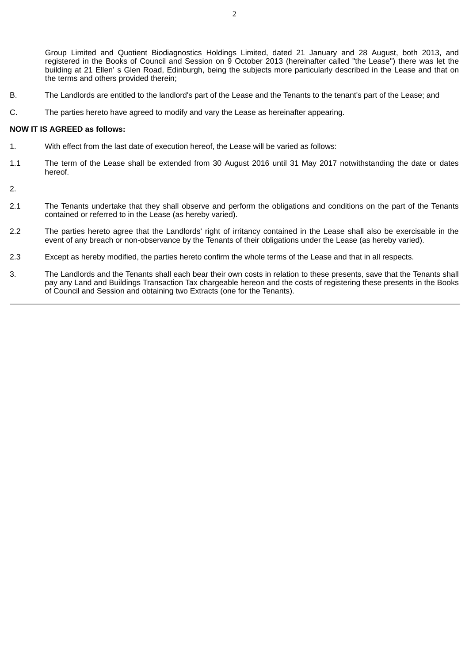2

Group Limited and Quotient Biodiagnostics Holdings Limited, dated 21 January and 28 August, both 2013, and registered in the Books of Council and Session on 9 October 2013 (hereinafter called "the Lease") there was let the building at 21 Ellen' s Glen Road, Edinburgh, being the subjects more particularly described in the Lease and that on the terms and others provided therein;

- B. The Landlords are entitled to the landlord's part of the Lease and the Tenants to the tenant's part of the Lease; and
- C. The parties hereto have agreed to modify and vary the Lease as hereinafter appearing.

## **NOW IT IS AGREED as follows:**

- 1. With effect from the last date of execution hereof, the Lease will be varied as follows:
- 1.1 The term of the Lease shall be extended from 30 August 2016 until 31 May 2017 notwithstanding the date or dates hereof.
- 2.
- 2.1 The Tenants undertake that they shall observe and perform the obligations and conditions on the part of the Tenants contained or referred to in the Lease (as hereby varied).
- 2.2 The parties hereto agree that the Landlords' right of irritancy contained in the Lease shall also be exercisable in the event of any breach or non-observance by the Tenants of their obligations under the Lease (as hereby varied).
- 2.3 Except as hereby modified, the parties hereto confirm the whole terms of the Lease and that in all respects.
- 3. The Landlords and the Tenants shall each bear their own costs in relation to these presents, save that the Tenants shall pay any Land and Buildings Transaction Tax chargeable hereon and the costs of registering these presents in the Books of Council and Session and obtaining two Extracts (one for the Tenants).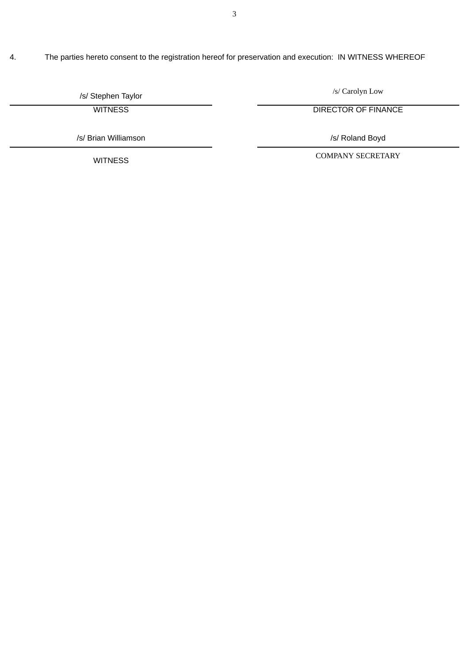4. The parties hereto consent to the registration hereof for preservation and execution: IN WITNESS WHEREOF

/s/ Stephen Taylor

/s/ Carolyn Low

WITNESS DIRECTOR OF FINANCE

/s/ Brian Williamson */s/ Brian Williamson* 

**WITNESS** 

COMPANY SECRETARY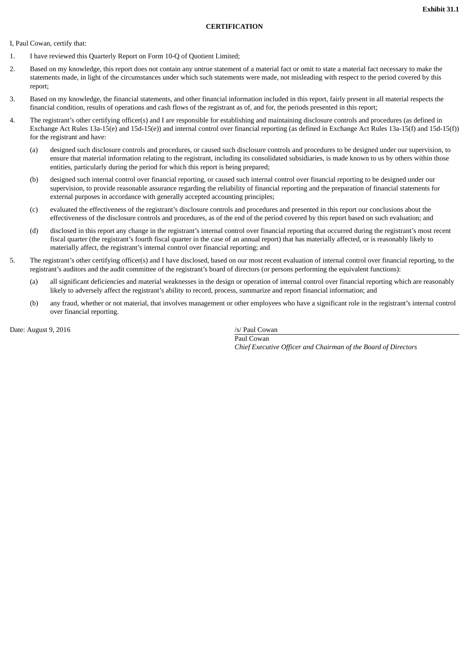I, Paul Cowan, certify that:

- 1. I have reviewed this Quarterly Report on Form 10-Q of Quotient Limited;
- 2. Based on my knowledge, this report does not contain any untrue statement of a material fact or omit to state a material fact necessary to make the statements made, in light of the circumstances under which such statements were made, not misleading with respect to the period covered by this report;
- 3. Based on my knowledge, the financial statements, and other financial information included in this report, fairly present in all material respects the financial condition, results of operations and cash flows of the registrant as of, and for, the periods presented in this report;
- 4. The registrant's other certifying officer(s) and I are responsible for establishing and maintaining disclosure controls and procedures (as defined in Exchange Act Rules 13a-15(e) and 15d-15(e)) and internal control over financial reporting (as defined in Exchange Act Rules 13a-15(f) and 15d-15(f)) for the registrant and have:
	- (a) designed such disclosure controls and procedures, or caused such disclosure controls and procedures to be designed under our supervision, to ensure that material information relating to the registrant, including its consolidated subsidiaries, is made known to us by others within those entities, particularly during the period for which this report is being prepared;
	- (b) designed such internal control over financial reporting, or caused such internal control over financial reporting to be designed under our supervision, to provide reasonable assurance regarding the reliability of financial reporting and the preparation of financial statements for external purposes in accordance with generally accepted accounting principles;
	- (c) evaluated the effectiveness of the registrant's disclosure controls and procedures and presented in this report our conclusions about the effectiveness of the disclosure controls and procedures, as of the end of the period covered by this report based on such evaluation; and
	- (d) disclosed in this report any change in the registrant's internal control over financial reporting that occurred during the registrant's most recent fiscal quarter (the registrant's fourth fiscal quarter in the case of an annual report) that has materially affected, or is reasonably likely to materially affect, the registrant's internal control over financial reporting; and
- 5. The registrant's other certifying officer(s) and I have disclosed, based on our most recent evaluation of internal control over financial reporting, to the registrant's auditors and the audit committee of the registrant's board of directors (or persons performing the equivalent functions):
	- (a) all significant deficiencies and material weaknesses in the design or operation of internal control over financial reporting which are reasonably likely to adversely affect the registrant's ability to record, process, summarize and report financial information; and
	- (b) any fraud, whether or not material, that involves management or other employees who have a significant role in the registrant's internal control over financial reporting.

Date: August 9, 2016 *Date: August 9, 2016 Islamic Lemma <i>SI Islamic 19 IS Paul Cowan* 

Paul Cowan *Chief Executive Officer and Chairman of the Board of Directors*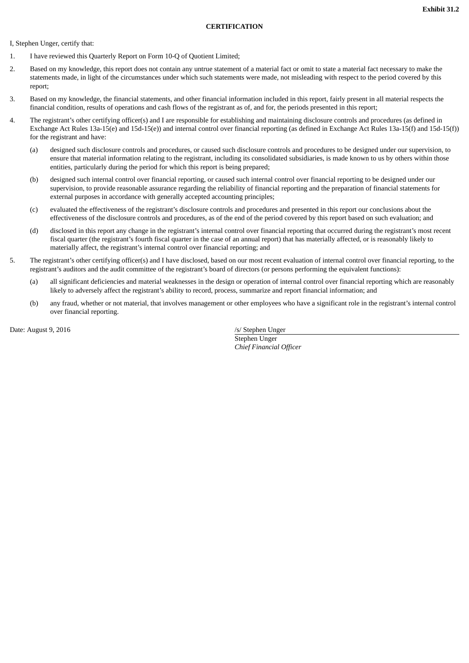I, Stephen Unger, certify that:

- 1. I have reviewed this Quarterly Report on Form 10-Q of Quotient Limited;
- 2. Based on my knowledge, this report does not contain any untrue statement of a material fact or omit to state a material fact necessary to make the statements made, in light of the circumstances under which such statements were made, not misleading with respect to the period covered by this report;
- 3. Based on my knowledge, the financial statements, and other financial information included in this report, fairly present in all material respects the financial condition, results of operations and cash flows of the registrant as of, and for, the periods presented in this report;
- 4. The registrant's other certifying officer(s) and I are responsible for establishing and maintaining disclosure controls and procedures (as defined in Exchange Act Rules 13a-15(e) and 15d-15(e)) and internal control over financial reporting (as defined in Exchange Act Rules 13a-15(f) and 15d-15(f)) for the registrant and have:
	- (a) designed such disclosure controls and procedures, or caused such disclosure controls and procedures to be designed under our supervision, to ensure that material information relating to the registrant, including its consolidated subsidiaries, is made known to us by others within those entities, particularly during the period for which this report is being prepared;
	- (b) designed such internal control over financial reporting, or caused such internal control over financial reporting to be designed under our supervision, to provide reasonable assurance regarding the reliability of financial reporting and the preparation of financial statements for external purposes in accordance with generally accepted accounting principles;
	- (c) evaluated the effectiveness of the registrant's disclosure controls and procedures and presented in this report our conclusions about the effectiveness of the disclosure controls and procedures, as of the end of the period covered by this report based on such evaluation; and
	- (d) disclosed in this report any change in the registrant's internal control over financial reporting that occurred during the registrant's most recent fiscal quarter (the registrant's fourth fiscal quarter in the case of an annual report) that has materially affected, or is reasonably likely to materially affect, the registrant's internal control over financial reporting; and
- 5. The registrant's other certifying officer(s) and I have disclosed, based on our most recent evaluation of internal control over financial reporting, to the registrant's auditors and the audit committee of the registrant's board of directors (or persons performing the equivalent functions):
	- (a) all significant deficiencies and material weaknesses in the design or operation of internal control over financial reporting which are reasonably likely to adversely affect the registrant's ability to record, process, summarize and report financial information; and
	- (b) any fraud, whether or not material, that involves management or other employees who have a significant role in the registrant's internal control over financial reporting.

Date: August 9, 2016 *Date: August 9, 2016 Islamic stephen Unger* 

Stephen Unger *Chief Financial Officer*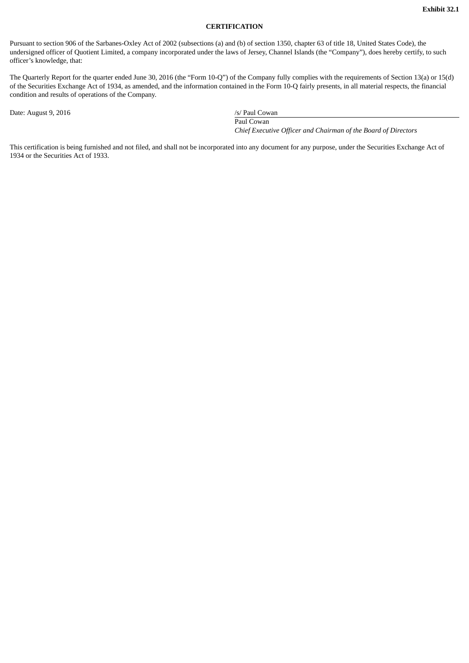Pursuant to section 906 of the Sarbanes-Oxley Act of 2002 (subsections (a) and (b) of section 1350, chapter 63 of title 18, United States Code), the undersigned officer of Quotient Limited, a company incorporated under the laws of Jersey, Channel Islands (the "Company"), does hereby certify, to such officer's knowledge, that:

The Quarterly Report for the quarter ended June 30, 2016 (the "Form 10-Q") of the Company fully complies with the requirements of Section 13(a) or 15(d) of the Securities Exchange Act of 1934, as amended, and the information contained in the Form 10-Q fairly presents, in all material respects, the financial condition and results of operations of the Company.

Date: August 9, 2016 /s/ Paul Cowan

Paul Cowan

*Chief Executive Officer and Chairman of the Board of Directors*

This certification is being furnished and not filed, and shall not be incorporated into any document for any purpose, under the Securities Exchange Act of 1934 or the Securities Act of 1933.